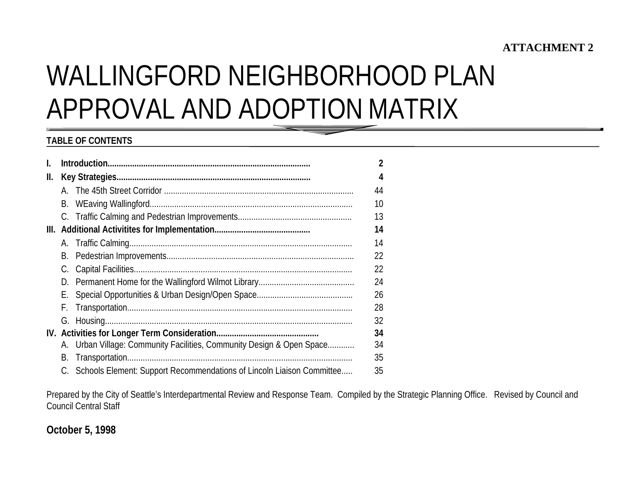# **ATTACHMENT 2**

# WALLINGFORD NEIGHBORHOOD PLANAPPROVAL AND ADOPTION MATRIX

## **TABLE OF CONTENTS**

| I.  |    |                                                                          | $\overline{2}$ |
|-----|----|--------------------------------------------------------------------------|----------------|
| II. |    |                                                                          |                |
|     |    |                                                                          | 44             |
|     | В. |                                                                          | 10             |
|     |    |                                                                          | 13             |
|     |    |                                                                          | 14             |
|     |    |                                                                          | 14             |
|     | В. |                                                                          | 22             |
|     |    |                                                                          | 22             |
|     |    |                                                                          | 24             |
|     |    |                                                                          | 26             |
|     | F. |                                                                          | 28             |
|     |    |                                                                          | 32             |
|     |    |                                                                          | 34             |
|     |    | A. Urban Village: Community Facilities, Community Design & Open Space    | 34             |
|     | В. |                                                                          | 35             |
|     |    | C. Schools Element: Support Recommendations of Lincoln Liaison Committee | 35             |

Prepared by the City of Seattle's Interdepartmental Review and Response Team. Compiled by the Strategic Planning Office. Revised by Council and Council Central Staff

**October 5, 1998**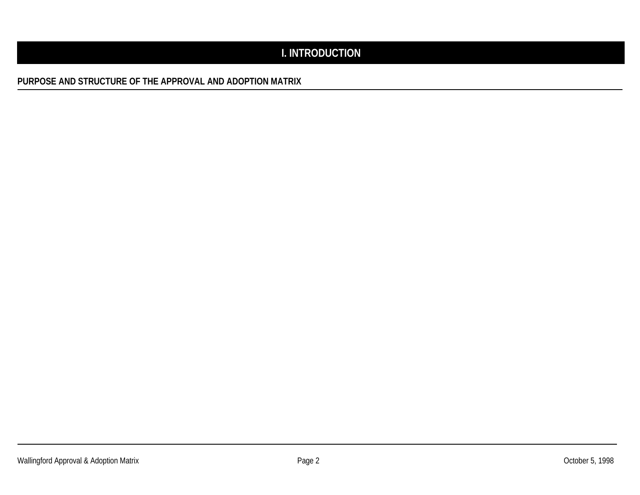# **I. INTRODUCTION**

**PURPOSE AND STRUCTURE OF THE APPROVAL AND ADOPTION MATRIX**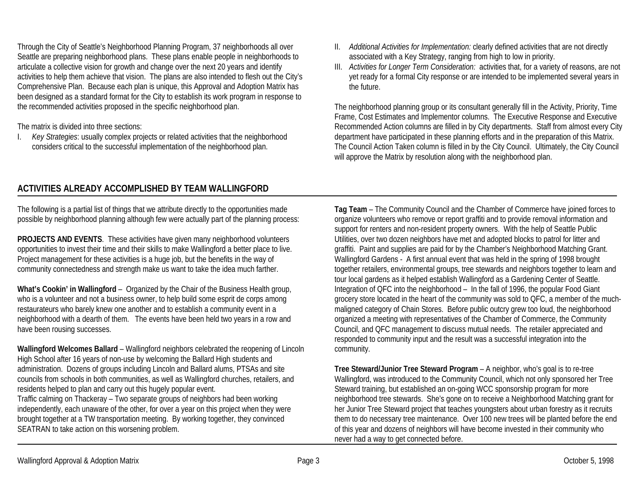Through the City of Seattle's Neighborhood Planning Program, 37 neighborhoods all over Seattle are preparing neighborhood plans. These plans enable people in neighborhoods to articulate a collective vision for growth and change over the next 20 years and identify activities to help them achieve that vision. The plans are also intended to flesh out the City's Comprehensive Plan. Because each plan is unique, this Approval and Adoption Matrix has been designed as a standard format for the City to establish its work program in response to the recommended activities proposed in the specific neighborhood plan.

The matrix is divided into three sections:

I. *Key Strategies*: usually complex projects or related activities that the neighborhood considers critical to the successful implementation of the neighborhood plan.

- II. *Additional Activities for Implementation:* clearly defined activities that are not directly associated with a Key Strategy, ranging from high to low in priority.
- III. *Activities for Longer Term Consideration:* activities that, for a variety of reasons, are not yet ready for a formal City response or are intended to be implemented several years in the future.

The neighborhood planning group or its consultant generally fill in the Activity, Priority, Time Frame, Cost Estimates and Implementor columns. The Executive Response and Executive Recommended Action columns are filled in by City departments. Staff from almost every City department have participated in these planning efforts and in the preparation of this Matrix. The Council Action Taken column is filled in by the City Council. Ultimately, the City Council will approve the Matrix by resolution along with the neighborhood plan.

## **ACTIVITIES ALREADY ACCOMPLISHED BY TEAM WALLINGFORD**

The following is a partial list of things that we attribute directly to the opportunities made possible by neighborhood planning although few were actually part of the planning process:

**PROJECTS AND EVENTS**. These activities have given many neighborhood volunteers opportunities to invest their time and their skills to make Wallingford a better place to live. Project management for these activities is a huge job, but the benefits in the way of community connectedness and strength make us want to take the idea much farther.

**What's Cookin' in Wallingford** – Organized by the Chair of the Business Health group, who is a volunteer and not a business owner, to help build some esprit de corps among restaurateurs who barely knew one another and to establish a community event in a neighborhood with a dearth of them. The events have been held two years in a row and have been rousing successes.

**Wallingford Welcomes Ballard** – Wallingford neighbors celebrated the reopening of Lincoln High School after 16 years of non-use by welcoming the Ballard High students and administration. Dozens of groups including Lincoln and Ballard alums, PTSAs and site councils from schools in both communities, as well as Wallingford churches, retailers, and residents helped to plan and carry out this hugely popular event.

Traffic calming on Thackeray – Two separate groups of neighbors had been working independently, each unaware of the other, for over a year on this project when they were brought together at a TW transportation meeting. By working together, they convinced SEATRAN to take action on this worsening problem.

**Tag Team** – The Community Council and the Chamber of Commerce have joined forces to organize volunteers who remove or report graffiti and to provide removal information and support for renters and non-resident property owners. With the help of Seattle Public Utilities, over two dozen neighbors have met and adopted blocks to patrol for litter and graffiti. Paint and supplies are paid for by the Chamber's Neighborhood Matching Grant. Wallingford Gardens - A first annual event that was held in the spring of 1998 brought together retailers, environmental groups, tree stewards and neighbors together to learn and tour local gardens as it helped establish Wallingford as a Gardening Center of Seattle. Integration of QFC into the neighborhood – In the fall of 1996, the popular Food Giant grocery store located in the heart of the community was sold to QFC, a member of the muchmaligned category of Chain Stores. Before public outcry grew too loud, the neighborhood organized a meeting with representatives of the Chamber of Commerce, the Community Council, and QFC management to discuss mutual needs. The retailer appreciated and responded to community input and the result was a successful integration into the community.

**Tree Steward/Junior Tree Steward Program** – A neighbor, who's goal is to re-tree Wallingford, was introduced to the Community Council, which not only sponsored her Tree Steward training, but established an on-going WCC sponsorship program for more neighborhood tree stewards. She's gone on to receive a Neighborhood Matching grant for her Junior Tree Steward project that teaches youngsters about urban forestry as it recruits them to do necessary tree maintenance. Over 100 new trees will be planted before the end of this year and dozens of neighbors will have become invested in their community who never had a way to get connected before.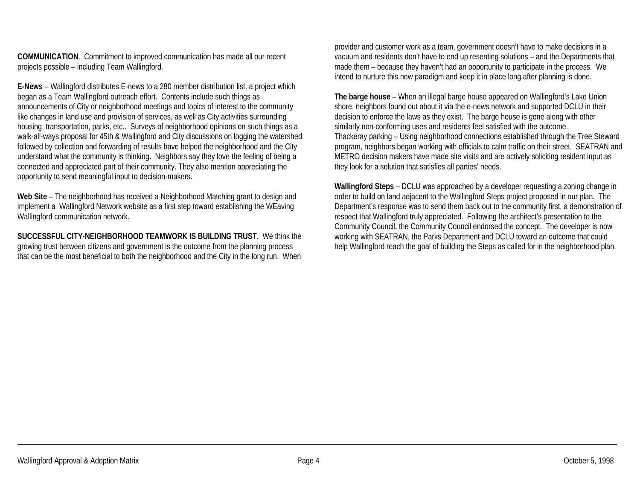**COMMUNICATION**. Commitment to improved communication has made all our recent projects possible – including Team Wallingford.

**E-News** – Wallingford distributes E-news to a 280 member distribution list, a project which began as a Team Wallingford outreach effort. Contents include such things as announcements of City or neighborhood meetings and topics of interest to the community like changes in land use and provision of services, as well as City activities surrounding housing, transportation, parks, etc.. Surveys of neighborhood opinions on such things as a walk-all-ways proposal for 45th & Wallingford and City discussions on logging the watershed followed by collection and forwarding of results have helped the neighborhood and the City understand what the community is thinking. Neighbors say they love the feeling of being a connected and appreciated part of their community. They also mention appreciating the opportunity to send meaningful input to decision-makers.

**Web Site** – The neighborhood has received a Neighborhood Matching grant to design and implement a Wallingford Network website as a first step toward establishing the WEaving Wallingford communication network.

**SUCCESSFUL CITY-NEIGHBORHOOD TEAMWORK IS BUILDING TRUST**. We think thegrowing trust between citizens and government is the outcome from the planning process that can be the most beneficial to both the neighborhood and the City in the long run. When

provider and customer work as a team, government doesn't have to make decisions in a vacuum and residents don't have to end up resenting solutions – and the Departments that made them – because they haven't had an opportunity to participate in the process. We intend to nurture this new paradigm and keep it in place long after planning is done.

**The barge house** – When an illegal barge house appeared on Wallingford's Lake Union shore, neighbors found out about it via the e-news network and supported DCLU in their decision to enforce the laws as they exist. The barge house is gone along with other similarly non-conforming uses and residents feel satisfied with the outcome. Thackeray parking – Using neighborhood connections established through the Tree Steward program, neighbors began working with officials to calm traffic on their street. SEATRAN and METRO decision makers have made site visits and are actively soliciting resident input as they look for a solution that satisfies all parties' needs.

**Wallingford Steps** – DCLU was approached by a developer requesting a zoning change in order to build on land adjacent to the Wallingford Steps project proposed in our plan. The Department's response was to send them back out to the community first, a demonstration of respect that Wallingford truly appreciated. Following the architect's presentation to the Community Council, the Community Council endorsed the concept. The developer is now working with SEATRAN, the Parks Department and DCLU toward an outcome that could help Wallingford reach the goal of building the Steps as called for in the neighborhood plan.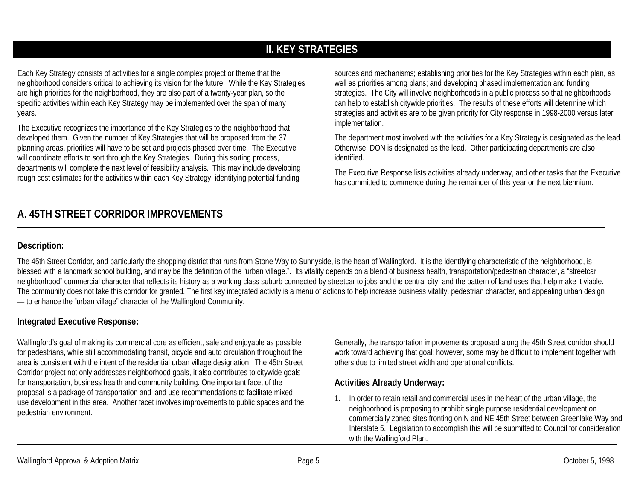# **II. KEY STRATEGIES**

Each Key Strategy consists of activities for a single complex project or theme that the neighborhood considers critical to achieving its vision for the future. While the Key Strategies are high priorities for the neighborhood, they are also part of a twenty-year plan, so the specific activities within each Key Strategy may be implemented over the span of many years.

The Executive recognizes the importance of the Key Strategies to the neighborhood that developed them. Given the number of Key Strategies that will be proposed from the 37 planning areas, priorities will have to be set and projects phased over time. The Executive will coordinate efforts to sort through the Key Strategies. During this sorting process, departments will complete the next level of feasibility analysis. This may include developing rough cost estimates for the activities within each Key Strategy; identifying potential funding

**A. 45TH STREET CORRIDOR IMPROVEMENTS**

sources and mechanisms; establishing priorities for the Key Strategies within each plan, as well as priorities among plans; and developing phased implementation and funding strategies. The City will involve neighborhoods in a public process so that neighborhoods can help to establish citywide priorities. The results of these efforts will determine which strategies and activities are to be given priority for City response in 1998-2000 versus later implementation.

The department most involved with the activities for a Key Strategy is designated as the lead. Otherwise, DON is designated as the lead. Other participating departments are also identified.

The Executive Response lists activities already underway, and other tasks that the Executive has committed to commence during the remainder of this year or the next biennium.

## **Description:**

The 45th Street Corridor, and particularly the shopping district that runs from Stone Way to Sunnyside, is the heart of Wallingford. It is the identifying characteristic of the neighborhood, is blessed with a landmark school building, and may be the definition of the "urban village.". Its vitality depends on a blend of business health, transportation/pedestrian character, a "streetcar neighborhood" commercial character that reflects its history as a working class suburb connected by streetcar to jobs and the central city, and the pattern of land uses that help make it viable. The community does not take this corridor for granted. The first key integrated activity is a menu of actions to help increase business vitality, pedestrian character, and appealing urban design — to enhance the "urban village" character of the Wallingford Community.

## **Integrated Executive Response:**

Wallingford's goal of making its commercial core as efficient, safe and enjoyable as possible for pedestrians, while still accommodating transit, bicycle and auto circulation throughout the area is consistent with the intent of the residential urban village designation. The 45th Street Corridor project not only addresses neighborhood goals, it also contributes to citywide goals for transportation, business health and community building. One important facet of the proposal is a package of transportation and land use recommendations to facilitate mixed use development in this area. Another facet involves improvements to public spaces and the pedestrian environment.

Generally, the transportation improvements proposed along the 45th Street corridor should work toward achieving that goal; however, some may be difficult to implement together with others due to limited street width and operational conflicts.

#### **Activities Already Underway:**

1. In order to retain retail and commercial uses in the heart of the urban village, the neighborhood is proposing to prohibit single purpose residential development on commercially zoned sites fronting on N and NE 45th Street between Greenlake Way and Interstate 5. Legislation to accomplish this will be submitted to Council for consideration with the Wallingford Plan.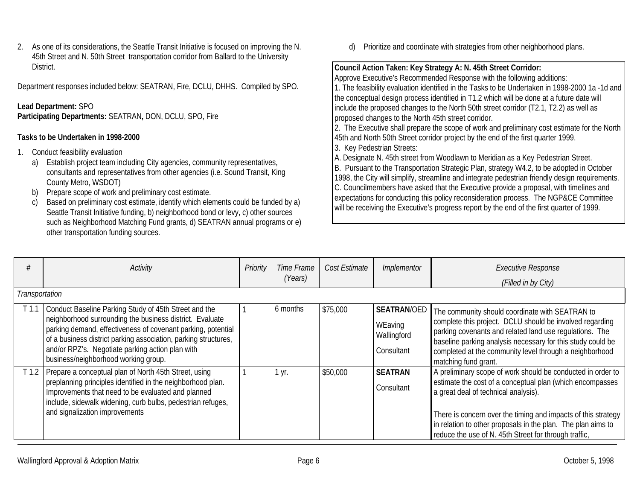2. As one of its considerations, the Seattle Transit Initiative is focused on improving the N. 45th Street and N. 50th Street transportation corridor from Ballard to the University District.

Department responses included below: SEATRAN, Fire, DCLU, DHHS. Compiled by SPO.

#### **Lead Department:** SPO

**Participating Departments:** SEATRAN**,** DON, DCLU, SPO, Fire

#### **Tasks to be Undertaken in 1998-2000**

- 1. Conduct feasibility evaluation
	- a) Establish project team including City agencies, community representatives, consultants and representatives from other agencies (i.e. Sound Transit, King County Metro, WSDOT)
	- b) Prepare scope of work and preliminary cost estimate.
	- c) Based on preliminary cost estimate, identify which elements could be funded by a) Seattle Transit Initiative funding, b) neighborhood bond or levy, c) other sources such as Neighborhood Matching Fund grants, d) SEATRAN annual programs or e) other transportation funding sources.

d) Prioritize and coordinate with strategies from other neighborhood plans.

#### **Council Action Taken: Key Strategy A: N. 45th Street Corridor:**

Approve Executive's Recommended Response with the following additions: 1. The feasibility evaluation identified in the Tasks to be Undertaken in 1998-2000 1a -1d and the conceptual design process identified in T1.2 which will be done at a future date will include the proposed changes to the North 50th street corridor (T2.1, T2.2) as well as proposed changes to the North 45th street corridor.

2. The Executive shall prepare the scope of work and preliminary cost estimate for the North 45th and North 50th Street corridor project by the end of the first quarter 1999.

- 3. Key Pedestrian Streets:
- A. Designate N. 45th street from Woodlawn to Meridian as a Key Pedestrian Street.

B. Pursuant to the Transportation Strategic Plan, strategy W4.2, to be adopted in October 1998, the City will simplify, streamline and integrate pedestrian friendly design requirements. C. Councilmembers have asked that the Executive provide a proposal, with timelines and expectations for conducting this policy reconsideration process. The NGP&CE Committee will be receiving the Executive's progress report by the end of the first quarter of 1999.

|                  | Activity                                                                                                                                                                                                                                                                                                                                         | Priority | Time Frame<br>(Years) | Cost Estimate | Implementor                                                | <b>Executive Response</b><br>(Filled in by City)                                                                                                                                                                                                                                                                                                           |
|------------------|--------------------------------------------------------------------------------------------------------------------------------------------------------------------------------------------------------------------------------------------------------------------------------------------------------------------------------------------------|----------|-----------------------|---------------|------------------------------------------------------------|------------------------------------------------------------------------------------------------------------------------------------------------------------------------------------------------------------------------------------------------------------------------------------------------------------------------------------------------------------|
| Transportation   |                                                                                                                                                                                                                                                                                                                                                  |          |                       |               |                                                            |                                                                                                                                                                                                                                                                                                                                                            |
| T <sub>1.1</sub> | Conduct Baseline Parking Study of 45th Street and the<br>neighborhood surrounding the business district. Evaluate<br>parking demand, effectiveness of covenant parking, potential<br>of a business district parking association, parking structures,<br>and/or RPZ's. Negotiate parking action plan with<br>business/neighborhood working group. |          | 6 months              | \$75,000      | <b>SEATRAN/OED</b><br>WEaving<br>Wallingford<br>Consultant | The community should coordinate with SEATRAN to<br>complete this project. DCLU should be involved regarding<br>parking covenants and related land use regulations. The<br>baseline parking analysis necessary for this study could be<br>completed at the community level through a neighborhood<br>matching fund grant.                                   |
| T <sub>1.2</sub> | Prepare a conceptual plan of North 45th Street, using<br>preplanning principles identified in the neighborhood plan.<br>Improvements that need to be evaluated and planned<br>include, sidewalk widening, curb bulbs, pedestrian refuges,<br>and signalization improvements                                                                      |          | 1 yr.                 | \$50,000      | <b>SEATRAN</b><br>Consultant                               | A preliminary scope of work should be conducted in order to<br>estimate the cost of a conceptual plan (which encompasses<br>a great deal of technical analysis).<br>There is concern over the timing and impacts of this strategy<br>in relation to other proposals in the plan. The plan aims to<br>reduce the use of N. 45th Street for through traffic, |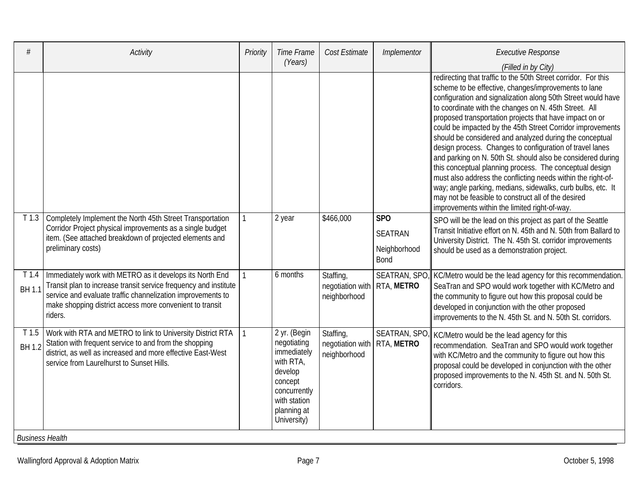|                                  | <b>Activity</b>                                                                                                                                                                                                                                                    | Priority     | Time Frame<br>(Years)                                                                                                                       | Cost Estimate                                 | Implementor                                          | <b>Executive Response</b>                                                                                                                                                                                                                                                                                                                                                                                                                                                                                                                                                                                                                                                                                                                                                                                                                                       |
|----------------------------------|--------------------------------------------------------------------------------------------------------------------------------------------------------------------------------------------------------------------------------------------------------------------|--------------|---------------------------------------------------------------------------------------------------------------------------------------------|-----------------------------------------------|------------------------------------------------------|-----------------------------------------------------------------------------------------------------------------------------------------------------------------------------------------------------------------------------------------------------------------------------------------------------------------------------------------------------------------------------------------------------------------------------------------------------------------------------------------------------------------------------------------------------------------------------------------------------------------------------------------------------------------------------------------------------------------------------------------------------------------------------------------------------------------------------------------------------------------|
|                                  |                                                                                                                                                                                                                                                                    |              |                                                                                                                                             |                                               |                                                      | (Filled in by City)                                                                                                                                                                                                                                                                                                                                                                                                                                                                                                                                                                                                                                                                                                                                                                                                                                             |
|                                  |                                                                                                                                                                                                                                                                    |              |                                                                                                                                             |                                               |                                                      | redirecting that traffic to the 50th Street corridor. For this<br>scheme to be effective, changes/improvements to lane<br>configuration and signalization along 50th Street would have<br>to coordinate with the changes on N. 45th Street. All<br>proposed transportation projects that have impact on or<br>could be impacted by the 45th Street Corridor improvements<br>should be considered and analyzed during the conceptual<br>design process. Changes to configuration of travel lanes<br>and parking on N. 50th St. should also be considered during<br>this conceptual planning process. The conceptual design<br>must also address the conflicting needs within the right-of-<br>way; angle parking, medians, sidewalks, curb bulbs, etc. It<br>may not be feasible to construct all of the desired<br>improvements within the limited right-of-way |
| T <sub>1.3</sub>                 | Completely Implement the North 45th Street Transportation<br>Corridor Project physical improvements as a single budget<br>item. (See attached breakdown of projected elements and<br>preliminary costs)                                                            | $\mathbf{1}$ | 2 year                                                                                                                                      | \$466,000                                     | <b>SPO</b><br><b>SEATRAN</b><br>Neighborhood<br>Bond | SPO will be the lead on this project as part of the Seattle<br>Transit Initiative effort on N. 45th and N. 50th from Ballard to<br>University District. The N. 45th St. corridor improvements<br>should be used as a demonstration project.                                                                                                                                                                                                                                                                                                                                                                                                                                                                                                                                                                                                                     |
| T <sub>1.4</sub><br><b>BH1.1</b> | Immediately work with METRO as it develops its North End<br>Transit plan to increase transit service frequency and institute<br>service and evaluate traffic channelization improvements to<br>make shopping district access more convenient to transit<br>riders. |              | 6 months                                                                                                                                    | Staffing,<br>negotiation with<br>neighborhood | SEATRAN, SPO,<br><b>RTA, METRO</b>                   | KC/Metro would be the lead agency for this recommendation.<br>SeaTran and SPO would work together with KC/Metro and<br>the community to figure out how this proposal could be<br>developed in conjunction with the other proposed<br>improvements to the N. 45th St. and N. 50th St. corridors.                                                                                                                                                                                                                                                                                                                                                                                                                                                                                                                                                                 |
| T <sub>1.5</sub><br><b>BH1.2</b> | Work with RTA and METRO to link to University District RTA<br>Station with frequent service to and from the shopping<br>district, as well as increased and more effective East-West<br>service from Laurelhurst to Sunset Hills.                                   | $\mathbf{1}$ | 2 yr. (Begin<br>negotiating<br>immediately<br>with RTA,<br>develop<br>concept<br>concurrently<br>with station<br>planning at<br>University) | Staffing,<br>negotiation with<br>neighborhood | <b>SEATRAN, SPO</b><br>RTA, METRO                    | KC/Metro would be the lead agency for this<br>recommendation. SeaTran and SPO would work together<br>with KC/Metro and the community to figure out how this<br>proposal could be developed in conjunction with the other<br>proposed improvements to the N. 45th St. and N. 50th St.<br>corridors.                                                                                                                                                                                                                                                                                                                                                                                                                                                                                                                                                              |
| <b>Business Health</b>           |                                                                                                                                                                                                                                                                    |              |                                                                                                                                             |                                               |                                                      |                                                                                                                                                                                                                                                                                                                                                                                                                                                                                                                                                                                                                                                                                                                                                                                                                                                                 |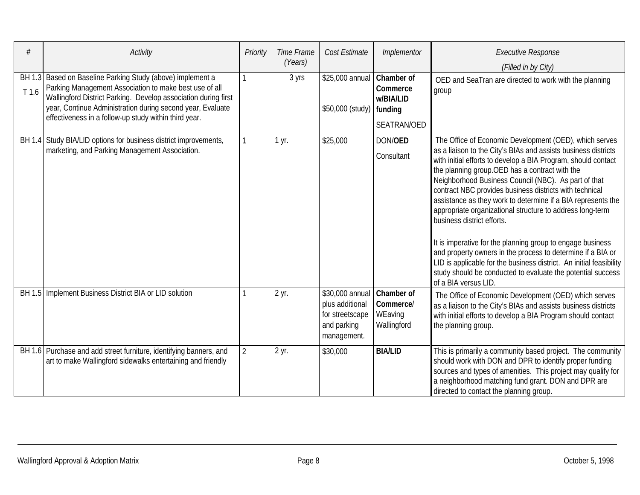| #     | Activity                                                                                                                                                                                                                                                                                                      | Priority       | Time Frame<br>(Years) | Cost Estimate                                                                       | Implementor                                                          | <b>Executive Response</b><br>(Filled in by City)                                                                                                                                                                                                                                                                                                                                                                                                                                                                                                                                                                                                                                                                                                                                                                      |
|-------|---------------------------------------------------------------------------------------------------------------------------------------------------------------------------------------------------------------------------------------------------------------------------------------------------------------|----------------|-----------------------|-------------------------------------------------------------------------------------|----------------------------------------------------------------------|-----------------------------------------------------------------------------------------------------------------------------------------------------------------------------------------------------------------------------------------------------------------------------------------------------------------------------------------------------------------------------------------------------------------------------------------------------------------------------------------------------------------------------------------------------------------------------------------------------------------------------------------------------------------------------------------------------------------------------------------------------------------------------------------------------------------------|
| T 1.6 | BH 1.3 Based on Baseline Parking Study (above) implement a<br>Parking Management Association to make best use of all<br>Wallingford District Parking. Develop association during first<br>year, Continue Administration during second year, Evaluate<br>effectiveness in a follow-up study within third year. | 1              | 3 yrs                 | \$25,000 annual<br>\$50,000 (study)                                                 | <b>Chamber of</b><br>Commerce<br>w/BIA/LID<br>funding<br>SEATRAN/OED | OED and SeaTran are directed to work with the planning<br>group                                                                                                                                                                                                                                                                                                                                                                                                                                                                                                                                                                                                                                                                                                                                                       |
|       | BH 1.4 Study BIA/LID options for business district improvements,<br>marketing, and Parking Management Association.                                                                                                                                                                                            |                | 1 yr.                 | \$25,000                                                                            | DON/OED<br>Consultant                                                | The Office of Economic Development (OED), which serves<br>as a liaison to the City's BIAs and assists business districts<br>with initial efforts to develop a BIA Program, should contact<br>the planning group. OED has a contract with the<br>Neighborhood Business Council (NBC). As part of that<br>contract NBC provides business districts with technical<br>assistance as they work to determine if a BIA represents the<br>appropriate organizational structure to address long-term<br>business district efforts.<br>It is imperative for the planning group to engage business<br>and property owners in the process to determine if a BIA or<br>LID is applicable for the business district. An initial feasibility<br>study should be conducted to evaluate the potential success<br>of a BIA versus LID. |
|       | BH 1.5   Implement Business District BIA or LID solution                                                                                                                                                                                                                                                      |                | $2$ yr.               | \$30,000 annual<br>plus additional<br>for streetscape<br>and parking<br>management. | Chamber of<br>Commerce/<br>WEaving<br>Wallingford                    | The Office of Economic Development (OED) which serves<br>as a liaison to the City's BIAs and assists business districts<br>with initial efforts to develop a BIA Program should contact<br>the planning group.                                                                                                                                                                                                                                                                                                                                                                                                                                                                                                                                                                                                        |
|       | BH 1.6 Purchase and add street furniture, identifying banners, and<br>art to make Wallingford sidewalks entertaining and friendly                                                                                                                                                                             | $\overline{2}$ | 2 yr.                 | \$30,000                                                                            | <b>BIA/LID</b>                                                       | This is primarily a community based project. The community<br>should work with DON and DPR to identify proper funding<br>sources and types of amenities. This project may qualify for<br>a neighborhood matching fund grant. DON and DPR are<br>directed to contact the planning group.                                                                                                                                                                                                                                                                                                                                                                                                                                                                                                                               |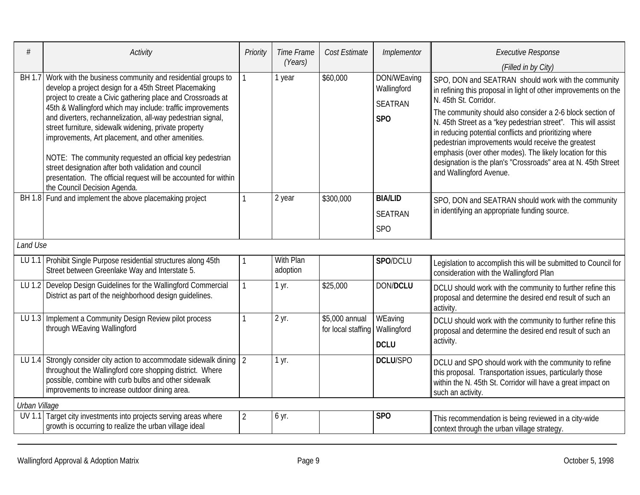| #             | Activity                                                                                                                                                                                                                                                                                                                                                                                                                                                                                                                                                                                                                                              | Priority       | Time Frame            | Cost Estimate                        | Implementor                                                     | <b>Executive Response</b>                                                                                                                                                                                                                                                                                                                                                                                                                                                                                                                              |
|---------------|-------------------------------------------------------------------------------------------------------------------------------------------------------------------------------------------------------------------------------------------------------------------------------------------------------------------------------------------------------------------------------------------------------------------------------------------------------------------------------------------------------------------------------------------------------------------------------------------------------------------------------------------------------|----------------|-----------------------|--------------------------------------|-----------------------------------------------------------------|--------------------------------------------------------------------------------------------------------------------------------------------------------------------------------------------------------------------------------------------------------------------------------------------------------------------------------------------------------------------------------------------------------------------------------------------------------------------------------------------------------------------------------------------------------|
|               |                                                                                                                                                                                                                                                                                                                                                                                                                                                                                                                                                                                                                                                       |                | (Years)               |                                      |                                                                 | (Filled in by City)                                                                                                                                                                                                                                                                                                                                                                                                                                                                                                                                    |
| BH 1.7        | Work with the business community and residential groups to<br>develop a project design for a 45th Street Placemaking<br>project to create a Civic gathering place and Crossroads at<br>45th & Wallingford which may include: traffic improvements<br>and diverters, rechannelization, all-way pedestrian signal,<br>street furniture, sidewalk widening, private property<br>improvements, Art placement, and other amenities.<br>NOTE: The community requested an official key pedestrian<br>street designation after both validation and council<br>presentation. The official request will be accounted for within<br>the Council Decision Agenda. |                | 1 year                | \$60,000                             | DON/WEaving<br>Wallingford<br><b>SEATRAN</b><br>SP <sub>O</sub> | SPO, DON and SEATRAN should work with the community<br>in refining this proposal in light of other improvements on the<br>N. 45th St. Corridor.<br>The community should also consider a 2-6 block section of<br>N. 45th Street as a "key pedestrian street". This will assist<br>in reducing potential conflicts and prioritizing where<br>pedestrian improvements would receive the greatest<br>emphasis (over other modes). The likely location for this<br>designation is the plan's "Crossroads" area at N. 45th Street<br>and Wallingford Avenue. |
|               | BH 1.8 Fund and implement the above placemaking project                                                                                                                                                                                                                                                                                                                                                                                                                                                                                                                                                                                               |                | 2 year                | \$300,000                            | <b>BIA/LID</b><br><b>SEATRAN</b><br>SP <sub>O</sub>             | SPO, DON and SEATRAN should work with the community<br>in identifying an appropriate funding source.                                                                                                                                                                                                                                                                                                                                                                                                                                                   |
| Land Use      |                                                                                                                                                                                                                                                                                                                                                                                                                                                                                                                                                                                                                                                       |                |                       |                                      |                                                                 |                                                                                                                                                                                                                                                                                                                                                                                                                                                                                                                                                        |
|               | LU 1.1 Prohibit Single Purpose residential structures along 45th<br>Street between Greenlake Way and Interstate 5.                                                                                                                                                                                                                                                                                                                                                                                                                                                                                                                                    |                | With Plan<br>adoption |                                      | SPO/DCLU                                                        | Legislation to accomplish this will be submitted to Council for<br>consideration with the Wallingford Plan                                                                                                                                                                                                                                                                                                                                                                                                                                             |
|               | LU 1.2 Develop Design Guidelines for the Wallingford Commercial<br>District as part of the neighborhood design guidelines.                                                                                                                                                                                                                                                                                                                                                                                                                                                                                                                            |                | 1 yr.                 | \$25,000                             | <b>DON/DCLU</b>                                                 | DCLU should work with the community to further refine this<br>proposal and determine the desired end result of such an<br>activity                                                                                                                                                                                                                                                                                                                                                                                                                     |
| LU 1.3        | Implement a Community Design Review pilot process<br>through WEaving Wallingford                                                                                                                                                                                                                                                                                                                                                                                                                                                                                                                                                                      |                | 2 yr.                 | \$5,000 annual<br>for local staffing | WEaving<br>Wallingford<br><b>DCLU</b>                           | DCLU should work with the community to further refine this<br>proposal and determine the desired end result of such an<br>activity.                                                                                                                                                                                                                                                                                                                                                                                                                    |
| LU 1.4        | Strongly consider city action to accommodate sidewalk dining 2<br>throughout the Wallingford core shopping district. Where<br>possible, combine with curb bulbs and other sidewalk<br>improvements to increase outdoor dining area.                                                                                                                                                                                                                                                                                                                                                                                                                   |                | 1 yr.                 |                                      | <b>DCLU/SPO</b>                                                 | DCLU and SPO should work with the community to refine<br>this proposal. Transportation issues, particularly those<br>within the N. 45th St. Corridor will have a great impact on<br>such an activity.                                                                                                                                                                                                                                                                                                                                                  |
| Urban Village |                                                                                                                                                                                                                                                                                                                                                                                                                                                                                                                                                                                                                                                       |                |                       |                                      |                                                                 |                                                                                                                                                                                                                                                                                                                                                                                                                                                                                                                                                        |
|               | UV 1.1 Target city investments into projects serving areas where<br>growth is occurring to realize the urban village ideal                                                                                                                                                                                                                                                                                                                                                                                                                                                                                                                            | $\overline{2}$ | 6 yr.                 |                                      | SP <sub>O</sub>                                                 | This recommendation is being reviewed in a city-wide<br>context through the urban village strategy.                                                                                                                                                                                                                                                                                                                                                                                                                                                    |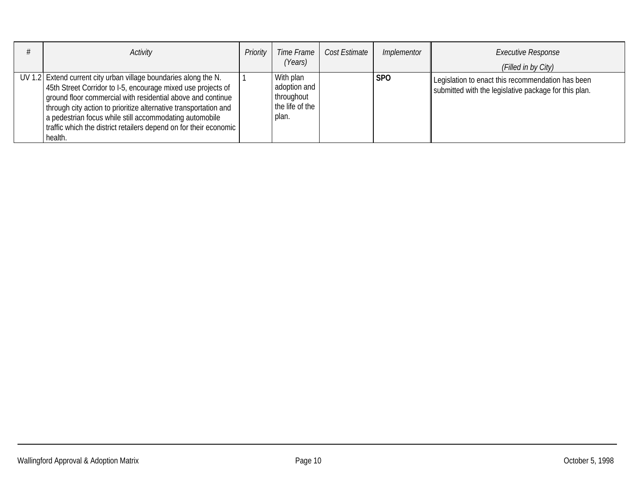| Activity                                                                                                                                                                                                                                                                                                                                                                                                           | Priority | Time Frame<br>(Years)                                               | Cost Estimate | Implementor | <b>Executive Response</b><br>(Filled in by City)                                                           |
|--------------------------------------------------------------------------------------------------------------------------------------------------------------------------------------------------------------------------------------------------------------------------------------------------------------------------------------------------------------------------------------------------------------------|----------|---------------------------------------------------------------------|---------------|-------------|------------------------------------------------------------------------------------------------------------|
| UV 1.2 Extend current city urban village boundaries along the N.<br>45th Street Corridor to I-5, encourage mixed use projects of<br>ground floor commercial with residential above and continue<br>through city action to prioritize alternative transportation and<br>a pedestrian focus while still accommodating automobile<br>I traffic which the district retailers depend on for their economic  <br>health. |          | With plan<br>adoption and<br>throughout<br>the life of the<br>plan. |               | <b>SPO</b>  | Legislation to enact this recommendation has been<br>submitted with the legislative package for this plan. |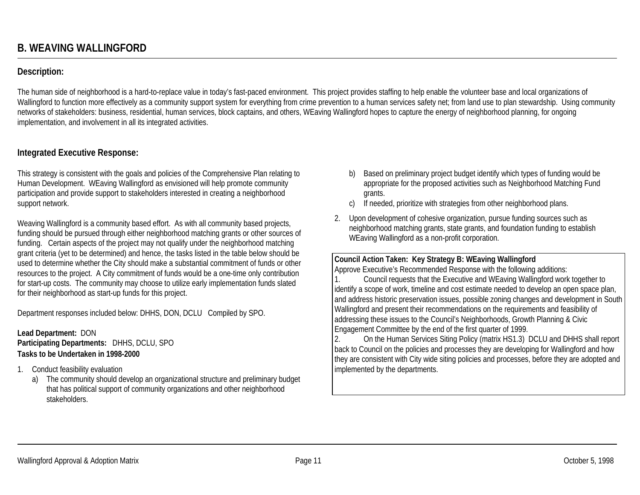## **Description:**

The human side of neighborhood is a hard-to-replace value in today's fast-paced environment. This project provides staffing to help enable the volunteer base and local organizations of Wallingford to function more effectively as a community support system for everything from crime prevention to a human services safety net; from land use to plan stewardship. Using community networks of stakeholders: business, residential, human services, block captains, and others, WEaving Wallingford hopes to capture the energy of neighborhood planning, for ongoing implementation, and involvement in all its integrated activities.

## **Integrated Executive Response:**

This strategy is consistent with the goals and policies of the Comprehensive Plan relating to Human Development. WEaving Wallingford as envisioned will help promote community participation and provide support to stakeholders interested in creating a neighborhood support network.

Weaving Wallingford is a community based effort. As with all community based projects, funding should be pursued through either neighborhood matching grants or other sources of funding. Certain aspects of the project may not qualify under the neighborhood matching grant criteria (yet to be determined) and hence, the tasks listed in the table below should be used to determine whether the City should make a substantial commitment of funds or other resources to the project. A City commitment of funds would be a one-time only contribution for start-up costs. The community may choose to utilize early implementation funds slated for their neighborhood as start-up funds for this project.

Department responses included below: DHHS, DON, DCLU Compiled by SPO.

#### **Lead Department:** DON **Participating Departments:** DHHS, DCLU, SPO **Tasks to be Undertaken in 1998-2000**

- 1. Conduct feasibility evaluation
	- a) The community should develop an organizational structure and preliminary budget that has political support of community organizations and other neighborhood stakeholders.
- b) Based on preliminary project budget identify which types of funding would be appropriate for the proposed activities such as Neighborhood Matching Fund grants.
- c) If needed, prioritize with strategies from other neighborhood plans.
- 2. Upon development of cohesive organization, pursue funding sources such as neighborhood matching grants, state grants, and foundation funding to establish WEaving Wallingford as a non-profit corporation.

#### **Council Action Taken: Key Strategy B: WEaving Wallingford**

Approve Executive's Recommended Response with the following additions:

1. Council requests that the Executive and WEaving Wallingford work together to identify a scope of work, timeline and cost estimate needed to develop an open space plan, and address historic preservation issues, possible zoning changes and development in South Wallingford and present their recommendations on the requirements and feasibility of addressing these issues to the Council's Neighborhoods, Growth Planning & Civic Engagement Committee by the end of the first quarter of 1999.

2. On the Human Services Siting Policy (matrix HS1.3) DCLU and DHHS shall report back to Council on the policies and processes they are developing for Wallingford and how they are consistent with City wide siting policies and processes, before they are adopted and implemented by the departments.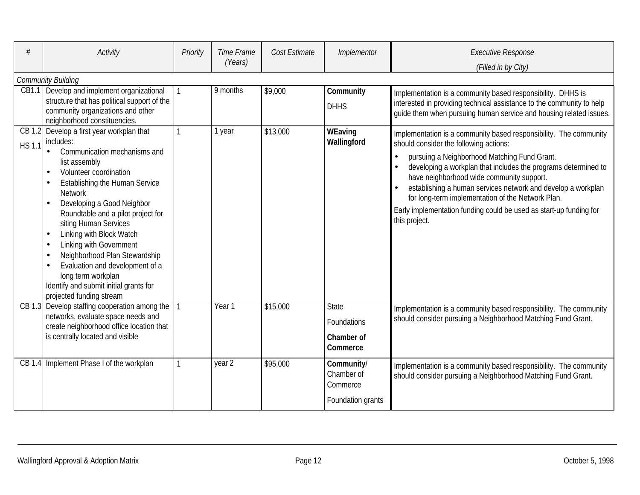| #             | <b>Activity</b>                                                                                                                                                                                                                                                                                                                                                                                                                                                                                                  | Priority | Time Frame<br>(Years) | Cost Estimate | Implementor                                               | <b>Executive Response</b><br>(Filled in by City)                                                                                                                                                                                                                                                                                                                                                                                                                                       |
|---------------|------------------------------------------------------------------------------------------------------------------------------------------------------------------------------------------------------------------------------------------------------------------------------------------------------------------------------------------------------------------------------------------------------------------------------------------------------------------------------------------------------------------|----------|-----------------------|---------------|-----------------------------------------------------------|----------------------------------------------------------------------------------------------------------------------------------------------------------------------------------------------------------------------------------------------------------------------------------------------------------------------------------------------------------------------------------------------------------------------------------------------------------------------------------------|
|               | <b>Community Building</b>                                                                                                                                                                                                                                                                                                                                                                                                                                                                                        |          |                       |               |                                                           |                                                                                                                                                                                                                                                                                                                                                                                                                                                                                        |
|               | CB1.1 Develop and implement organizational<br>structure that has political support of the<br>community organizations and other<br>neighborhood constituencies.                                                                                                                                                                                                                                                                                                                                                   |          | 9 months              | \$9,000       | Community<br><b>DHHS</b>                                  | Implementation is a community based responsibility. DHHS is<br>interested in providing technical assistance to the community to help<br>guide them when pursuing human service and housing related issues.                                                                                                                                                                                                                                                                             |
| <b>HS 1.1</b> | CB 1.2 Develop a first year workplan that<br>includes:<br>Communication mechanisms and<br>list assembly<br>Volunteer coordination<br><b>Establishing the Human Service</b><br><b>Network</b><br>Developing a Good Neighbor<br>Roundtable and a pilot project for<br>siting Human Services<br>Linking with Block Watch<br>Linking with Government<br>Neighborhood Plan Stewardship<br>Evaluation and development of a<br>long term workplan<br>Identify and submit initial grants for<br>projected funding stream |          | 1 year                | \$13,000      | WEaving<br>Wallingford                                    | Implementation is a community based responsibility. The community<br>should consider the following actions:<br>pursuing a Neighborhood Matching Fund Grant.<br>developing a workplan that includes the programs determined to<br>have neighborhood wide community support.<br>establishing a human services network and develop a workplan<br>for long-term implementation of the Network Plan.<br>Early implementation funding could be used as start-up funding for<br>this project. |
|               | CB 1.3 Develop staffing cooperation among the<br>networks, evaluate space needs and<br>create neighborhood office location that<br>is centrally located and visible                                                                                                                                                                                                                                                                                                                                              |          | Year 1                | \$15,000      | <b>State</b><br>Foundations<br>Chamber of<br>Commerce     | Implementation is a community based responsibility. The community<br>should consider pursuing a Neighborhood Matching Fund Grant.                                                                                                                                                                                                                                                                                                                                                      |
|               | CB 1.4 Implement Phase I of the workplan                                                                                                                                                                                                                                                                                                                                                                                                                                                                         |          | year 2                | \$95,000      | Community/<br>Chamber of<br>Commerce<br>Foundation grants | Implementation is a community based responsibility. The community<br>should consider pursuing a Neighborhood Matching Fund Grant.                                                                                                                                                                                                                                                                                                                                                      |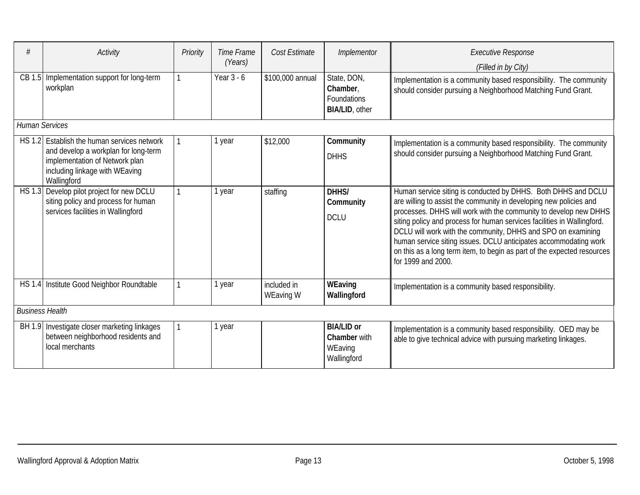|                        | Activity                                                                                                                                                               | Priority | Time Frame<br>(Years) | Cost Estimate            | Implementor                                                            | <b>Executive Response</b><br>(Filled in by City)                                                                                                                                                                                                                                                                                                                                                                                                                                                                        |  |  |  |  |  |  |
|------------------------|------------------------------------------------------------------------------------------------------------------------------------------------------------------------|----------|-----------------------|--------------------------|------------------------------------------------------------------------|-------------------------------------------------------------------------------------------------------------------------------------------------------------------------------------------------------------------------------------------------------------------------------------------------------------------------------------------------------------------------------------------------------------------------------------------------------------------------------------------------------------------------|--|--|--|--|--|--|
| CB 1.5                 | Implementation support for long-term<br>workplan                                                                                                                       |          | Year $3 - 6$          | \$100,000 annual         | State, DON,<br>Chamber,<br><b>Foundations</b><br><b>BIA/LID, other</b> | Implementation is a community based responsibility. The community<br>should consider pursuing a Neighborhood Matching Fund Grant.                                                                                                                                                                                                                                                                                                                                                                                       |  |  |  |  |  |  |
|                        | <b>Human Services</b>                                                                                                                                                  |          |                       |                          |                                                                        |                                                                                                                                                                                                                                                                                                                                                                                                                                                                                                                         |  |  |  |  |  |  |
|                        | HS 1.2 Establish the human services network<br>and develop a workplan for long-term<br>implementation of Network plan<br>including linkage with WEaving<br>Wallingford |          | 1 year                | \$12,000                 | Community<br><b>DHHS</b>                                               | Implementation is a community based responsibility. The community<br>should consider pursuing a Neighborhood Matching Fund Grant.                                                                                                                                                                                                                                                                                                                                                                                       |  |  |  |  |  |  |
| <b>HS 1.3</b>          | Develop pilot project for new DCLU<br>siting policy and process for human<br>services facilities in Wallingford                                                        |          | year                  | staffing                 | DHHS/<br>Community<br><b>DCLU</b>                                      | Human service siting is conducted by DHHS. Both DHHS and DCLU<br>are willing to assist the community in developing new policies and<br>processes. DHHS will work with the community to develop new DHHS<br>siting policy and process for human services facilities in Wallingford.<br>DCLU will work with the community, DHHS and SPO on examining<br>human service siting issues. DCLU anticipates accommodating work<br>on this as a long term item, to begin as part of the expected resources<br>for 1999 and 2000. |  |  |  |  |  |  |
|                        | HS 1.4 Institute Good Neighbor Roundtable                                                                                                                              | 1        | 1 year                | included in<br>WEaving W | WEaving<br>Wallingford                                                 | Implementation is a community based responsibility.                                                                                                                                                                                                                                                                                                                                                                                                                                                                     |  |  |  |  |  |  |
| <b>Business Health</b> |                                                                                                                                                                        |          |                       |                          |                                                                        |                                                                                                                                                                                                                                                                                                                                                                                                                                                                                                                         |  |  |  |  |  |  |
|                        | BH 1.9 Investigate closer marketing linkages<br>between neighborhood residents and<br>local merchants                                                                  |          | year                  |                          | <b>BIA/LID or</b><br>Chamber with<br>WEaving<br>Wallingford            | Implementation is a community based responsibility. OED may be<br>able to give technical advice with pursuing marketing linkages.                                                                                                                                                                                                                                                                                                                                                                                       |  |  |  |  |  |  |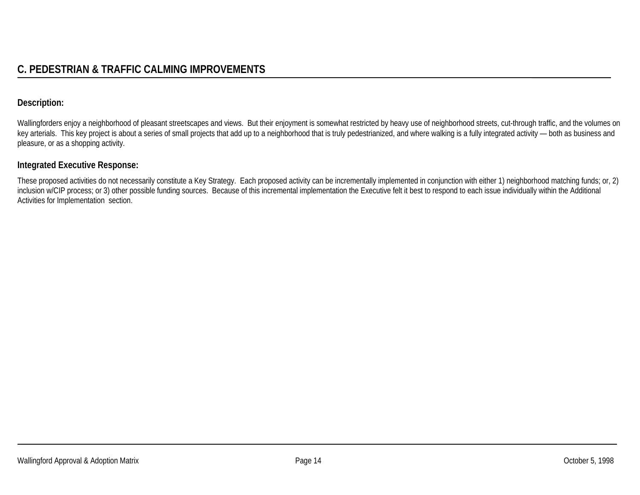## **Description:**

Wallingforders enjoy a neighborhood of pleasant streetscapes and views. But their enjoyment is somewhat restricted by heavy use of neighborhood streets, cut-through traffic, and the volumes on key arterials. This key project is about a series of small projects that add up to a neighborhood that is truly pedestrianized, and where walking is a fully integrated activity - both as business and pleasure, or as a shopping activity.

#### **Integrated Executive Response:**

These proposed activities do not necessarily constitute a Key Strategy. Each proposed activity can be incrementally implemented in conjunction with either 1) neighborhood matching funds; or, 2) inclusion w/CIP process; or 3) other possible funding sources. Because of this incremental implementation the Executive felt it best to respond to each issue individually within the Additional Activities for Implementation section.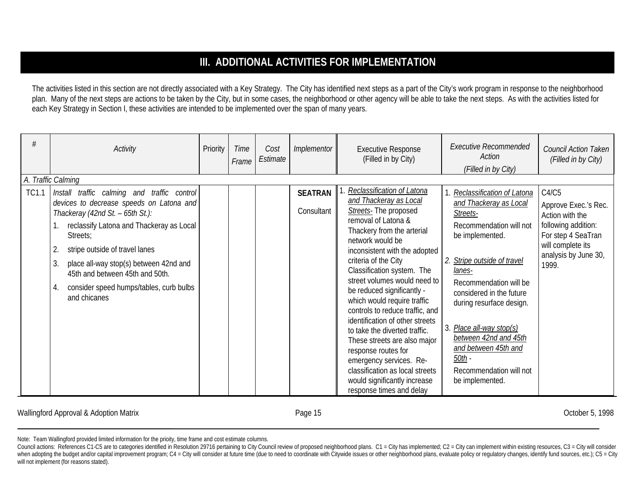# **III. ADDITIONAL ACTIVITIES FOR IMPLEMENTATION**

The activities listed in this section are not directly associated with a Key Strategy. The City has identified next steps as a part of the City's work program in response to the neighborhood plan. Many of the next steps are actions to be taken by the City, but in some cases, the neighborhood or other agency will be able to take the next steps. As with the activities listed for each Key Strategy in Section I, these activities are intended to be implemented over the span of many years.

|              | Activity                                                                                                                                                                                                                                                                                                                                                                                              | Priority | <b>Time</b><br>Frame | Cost<br>Estimate | Implementor                  | <b>Executive Response</b><br>(Filled in by City)                                                                                                                                                                                                                                                                                                                                                                                                                                                                                                                                                                                   | <b>Executive Recommended</b><br>Action<br>(Filled in by City)                                                                                                                                                                                                                                                                                                              | Council Action Taken<br>(Filled in by City)                                                                                                         |
|--------------|-------------------------------------------------------------------------------------------------------------------------------------------------------------------------------------------------------------------------------------------------------------------------------------------------------------------------------------------------------------------------------------------------------|----------|----------------------|------------------|------------------------------|------------------------------------------------------------------------------------------------------------------------------------------------------------------------------------------------------------------------------------------------------------------------------------------------------------------------------------------------------------------------------------------------------------------------------------------------------------------------------------------------------------------------------------------------------------------------------------------------------------------------------------|----------------------------------------------------------------------------------------------------------------------------------------------------------------------------------------------------------------------------------------------------------------------------------------------------------------------------------------------------------------------------|-----------------------------------------------------------------------------------------------------------------------------------------------------|
| <b>TC1.1</b> | A. Traffic Calming<br>Install traffic calming and traffic control<br>devices to decrease speeds on Latona and<br>Thackeray (42nd St. - 65th St.):<br>reclassify Latona and Thackeray as Local<br>Streets;<br>stripe outside of travel lanes<br>2.<br>3.<br>place all-way stop(s) between 42nd and<br>45th and between 45th and 50th.<br>consider speed humps/tables, curb bulbs<br>4.<br>and chicanes |          |                      |                  | <b>SEATRAN</b><br>Consultant | Reclassification of Latona<br>and Thackeray as Local<br>Streets- The proposed<br>removal of Latona &<br>Thackery from the arterial<br>network would be<br>inconsistent with the adopted<br>criteria of the City<br>Classification system. The<br>street volumes would need to<br>be reduced significantly -<br>which would require traffic<br>controls to reduce traffic, and<br>identification of other streets<br>to take the diverted traffic.<br>These streets are also major<br>response routes for<br>emergency services. Re-<br>classification as local streets<br>would significantly increase<br>response times and delay | Reclassification of Latona<br>and Thackeray as Local<br>Streets-<br>Recommendation will not<br>be implemented.<br>Stripe outside of travel<br>lanes-<br>Recommendation will be<br>considered in the future<br>during resurface design.<br>Place all-way stop(s)<br>between 42nd and 45th<br>and between 45th and<br>$50th -$<br>Recommendation will not<br>be implemented. | C4/C5<br>Approve Exec.'s Rec.<br>Action with the<br>following addition:<br>For step 4 SeaTran<br>will complete its<br>analysis by June 30,<br>1999. |

Wallingford Approval & Adoption Matrix **Canadiates and Control Control Control** Page 15 Corober 5, 1998 Corober 5, 1998

Council actions: References C1-C5 are to categories identified in Resolution 29716 pertaining to City Council review of proposed neighborhood plans. C1 = City has implemented; C2 = City can implement within existing resour when adopting the budget and/or capital improvement program; C4 = City will consider at future time (due to need to coordinate with Citywide issues or other neighborhood plans, evaluate policy or regulatory changes, identi will not implement (for reasons stated).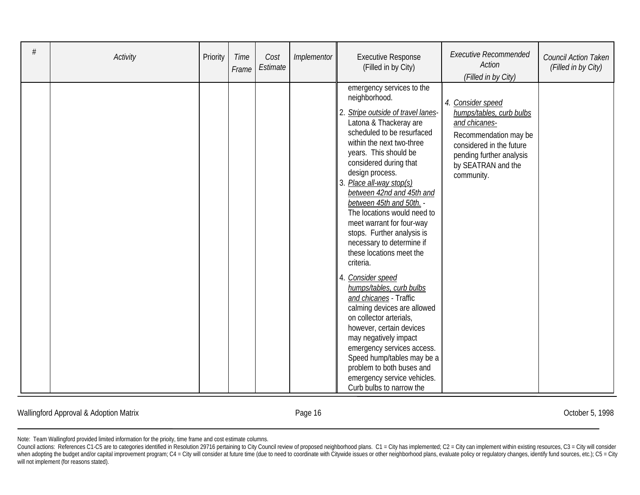| # | Activity | Priority | Time<br>Frame | Cost<br>Estimate | Implementor | <b>Executive Response</b><br>(Filled in by City)                                                                                                                                                                                                                                                                                                                                                                                                                                                                                                                                                                                                                                                                                                                                                                                                | <b>Executive Recommended</b><br>Action<br>(Filled in by City)                                                                                                                       | Council Action Taken<br>(Filled in by City) |
|---|----------|----------|---------------|------------------|-------------|-------------------------------------------------------------------------------------------------------------------------------------------------------------------------------------------------------------------------------------------------------------------------------------------------------------------------------------------------------------------------------------------------------------------------------------------------------------------------------------------------------------------------------------------------------------------------------------------------------------------------------------------------------------------------------------------------------------------------------------------------------------------------------------------------------------------------------------------------|-------------------------------------------------------------------------------------------------------------------------------------------------------------------------------------|---------------------------------------------|
|   |          |          |               |                  |             | emergency services to the<br>neighborhood.<br>2. Stripe outside of travel lanes-<br>Latona & Thackeray are<br>scheduled to be resurfaced<br>within the next two-three<br>years. This should be<br>considered during that<br>design process.<br>3. Place all-way stop(s)<br>between 42nd and 45th and<br>between 45th and 50th.<br>The locations would need to<br>meet warrant for four-way<br>stops. Further analysis is<br>necessary to determine if<br>these locations meet the<br>criteria.<br>Consider speed<br>4.<br>humps/tables, curb bulbs<br>and chicanes - Traffic<br>calming devices are allowed<br>on collector arterials,<br>however, certain devices<br>may negatively impact<br>emergency services access.<br>Speed hump/tables may be a<br>problem to both buses and<br>emergency service vehicles.<br>Curb bulbs to narrow the | 4. Consider speed<br>humps/tables, curb bulbs<br>and chicanes-<br>Recommendation may be<br>considered in the future<br>pending further analysis<br>by SEATRAN and the<br>community. |                                             |

#### Wallingford Approval & Adoption Matrix **Exercise 2018** Page 16 **Page 16** October 5, 1998

Council actions: References C1-C5 are to categories identified in Resolution 29716 pertaining to City Council review of proposed neighborhood plans. C1 = City has implemented; C2 = City can implement within existing resour when adopting the budget and/or capital improvement program; C4 = City will consider at future time (due to need to coordinate with Citywide issues or other neighborhood plans, evaluate policy or regulatory changes, identi will not implement (for reasons stated).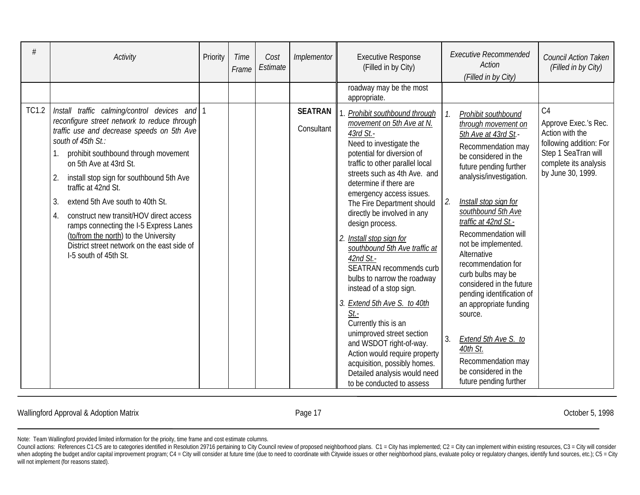| #            | Activity                                                                                                                                                                                                                                                                                                                                                                                                                                                                                                                                                           | Priority | <b>Time</b><br>Frame | Cost<br>Estimate | Implementor                  | <b>Executive Response</b><br>(Filled in by City)<br>roadway may be the most                                                                                                                                                                                                                                                                                                                                                                                                                                                                                                                                                                                                                                                                                                              | <b>Executive Recommended</b><br>Action<br>(Filled in by City)                                                                                                                                                                                                                                                                                                                                                                                                                                                                                                                     | <b>Council Action Taken</b><br>(Filled in by City)                                                                                            |
|--------------|--------------------------------------------------------------------------------------------------------------------------------------------------------------------------------------------------------------------------------------------------------------------------------------------------------------------------------------------------------------------------------------------------------------------------------------------------------------------------------------------------------------------------------------------------------------------|----------|----------------------|------------------|------------------------------|------------------------------------------------------------------------------------------------------------------------------------------------------------------------------------------------------------------------------------------------------------------------------------------------------------------------------------------------------------------------------------------------------------------------------------------------------------------------------------------------------------------------------------------------------------------------------------------------------------------------------------------------------------------------------------------------------------------------------------------------------------------------------------------|-----------------------------------------------------------------------------------------------------------------------------------------------------------------------------------------------------------------------------------------------------------------------------------------------------------------------------------------------------------------------------------------------------------------------------------------------------------------------------------------------------------------------------------------------------------------------------------|-----------------------------------------------------------------------------------------------------------------------------------------------|
| <b>TC1.2</b> | Install traffic calming/control devices and 1<br>reconfigure street network to reduce through<br>traffic use and decrease speeds on 5th Ave<br>south of 45th St.:<br>prohibit southbound through movement<br>on 5th Ave at 43rd St.<br>install stop sign for southbound 5th Ave<br>2.<br>traffic at 42nd St.<br>extend 5th Ave south to 40th St.<br>3.<br>construct new transit/HOV direct access<br>4.<br>ramps connecting the I-5 Express Lanes<br>(to/from the north) to the University<br>District street network on the east side of<br>I-5 south of 45th St. |          |                      |                  | <b>SEATRAN</b><br>Consultant | appropriate.<br>Prohibit southbound through<br>movement on 5th Ave at N.<br>43rd St.-<br>Need to investigate the<br>potential for diversion of<br>traffic to other parallel local<br>streets such as 4th Ave. and<br>determine if there are<br>emergency access issues.<br>The Fire Department should<br>directly be involved in any<br>design process.<br>Install stop sign for<br>2.<br>southbound 5th Ave traffic at<br>$42nd$ St. -<br><b>SEATRAN recommends curb</b><br>bulbs to narrow the roadway<br>instead of a stop sign.<br>3. Extend 5th Ave S. to 40th<br>St.<br>Currently this is an<br>unimproved street section<br>and WSDOT right-of-way.<br>Action would require property<br>acquisition, possibly homes.<br>Detailed analysis would need<br>to be conducted to assess | Prohibit southbound<br>through movement on<br>5th Ave at 43rd St.-<br>Recommendation may<br>be considered in the<br>future pending further<br>analysis/investigation.<br>2.<br>Install stop sign for<br>southbound 5th Ave<br>traffic at 42nd St.-<br><b>Recommendation will</b><br>not be implemented.<br>Alternative<br>recommendation for<br>curb bulbs may be<br>considered in the future<br>pending identification of<br>an appropriate funding<br>source.<br>3.<br>Extend 5th Ave S. to<br>40th St.<br>Recommendation may<br>be considered in the<br>future pending further | C4<br>Approve Exec.'s Rec.<br>Action with the<br>following addition: For<br>Step 1 SeaTran will<br>complete its analysis<br>by June 30, 1999. |

Wallingford Approval & Adoption Matrix **Exercise 2018** Page 17 **Page 17** October 5, 1998

Council actions: References C1-C5 are to categories identified in Resolution 29716 pertaining to City Council review of proposed neighborhood plans. C1 = City has implemented; C2 = City can implement within existing resour when adopting the budget and/or capital improvement program; C4 = City will consider at future time (due to need to coordinate with Citywide issues or other neighborhood plans, evaluate policy or regulatory changes, identi will not implement (for reasons stated).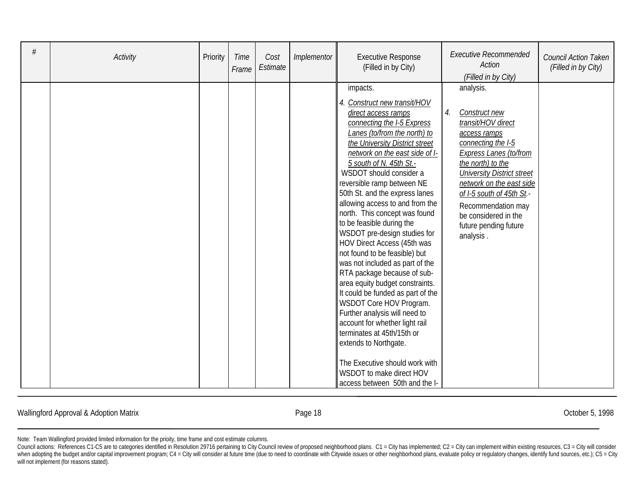| # | Activity | Priority | Time<br>Frame | Cost<br>Estimate | Implementor | <b>Executive Response</b><br>(Filled in by City)                                                                                                                                                                                                                                                                                                                                                                                                                                                                                                                                                    | <b>Executive Recommended</b><br>Action<br>(Filled in by City)                                                                                                                                                                             | <b>Council Action Taken</b><br>(Filled in by City) |
|---|----------|----------|---------------|------------------|-------------|-----------------------------------------------------------------------------------------------------------------------------------------------------------------------------------------------------------------------------------------------------------------------------------------------------------------------------------------------------------------------------------------------------------------------------------------------------------------------------------------------------------------------------------------------------------------------------------------------------|-------------------------------------------------------------------------------------------------------------------------------------------------------------------------------------------------------------------------------------------|----------------------------------------------------|
|   |          |          |               |                  |             | impacts.<br>4. Construct new transit/HOV<br>direct access ramps<br>connecting the I-5 Express<br>Lanes (to/from the north) to<br>the University District street<br>network on the east side of I-<br>5 south of N. 45th St.-<br>WSDOT should consider a<br>reversible ramp between NE<br>50th St. and the express lanes                                                                                                                                                                                                                                                                             | analysis.<br>4.<br>Construct new<br>transit/HOV direct<br>access ramps<br>connecting the I-5<br>Express Lanes (to/from<br>the north) to the<br><b>University District street</b><br>network on the east side<br>of I-5 south of 45th St.- |                                                    |
|   |          |          |               |                  |             | allowing access to and from the<br>north. This concept was found<br>to be feasible during the<br>WSDOT pre-design studies for<br><b>HOV Direct Access (45th was</b><br>not found to be feasible) but<br>was not included as part of the<br>RTA package because of sub-<br>area equity budget constraints.<br>It could be funded as part of the<br>WSDOT Core HOV Program.<br>Further analysis will need to<br>account for whether light rail<br>terminates at 45th/15th or<br>extends to Northgate.<br>The Executive should work with<br>WSDOT to make direct HOV<br>access between 50th and the I- | Recommendation may<br>be considered in the<br>future pending future<br>analysis.                                                                                                                                                          |                                                    |

Wallingford Approval & Adoption Matrix **Exercise 2018** Page 18 **Page 18** October 5, 1998

Council actions: References C1-C5 are to categories identified in Resolution 29716 pertaining to City Council review of proposed neighborhood plans. C1 = City has implemented; C2 = City can implement within existing resour when adopting the budget and/or capital improvement program; C4 = City will consider at future time (due to need to coordinate with Citywide issues or other neighborhood plans, evaluate policy or regulatory changes, identi will not implement (for reasons stated).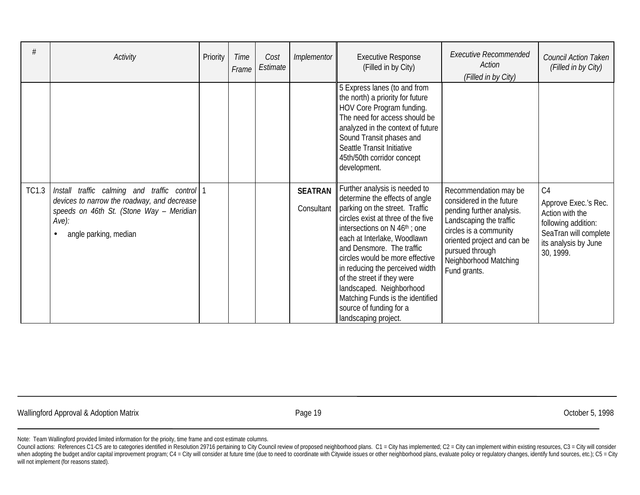| #            | Activity                                                                                                                                                                                    | Priority | Time<br>Frame | Cost<br>Estimate | <i>Implementor</i>           | <b>Executive Response</b><br>(Filled in by City)                                                                                                                                                                                                                                                                                                                                                                                                                          | <b>Executive Recommended</b><br>Action<br>(Filled in by City)                                                                                                                                                                  | <b>Council Action Taken</b><br>(Filled in by City)                                                                                             |
|--------------|---------------------------------------------------------------------------------------------------------------------------------------------------------------------------------------------|----------|---------------|------------------|------------------------------|---------------------------------------------------------------------------------------------------------------------------------------------------------------------------------------------------------------------------------------------------------------------------------------------------------------------------------------------------------------------------------------------------------------------------------------------------------------------------|--------------------------------------------------------------------------------------------------------------------------------------------------------------------------------------------------------------------------------|------------------------------------------------------------------------------------------------------------------------------------------------|
|              |                                                                                                                                                                                             |          |               |                  |                              | 5 Express lanes (to and from<br>the north) a priority for future<br>HOV Core Program funding.<br>The need for access should be<br>analyzed in the context of future<br>Sound Transit phases and<br>Seattle Transit Initiative<br>45th/50th corridor concept<br>development.                                                                                                                                                                                               |                                                                                                                                                                                                                                |                                                                                                                                                |
| <b>TC1.3</b> | Install traffic calming and traffic control   1<br>devices to narrow the roadway, and decrease<br>speeds on 46th St. (Stone Way - Meridian<br>$Ave$ :<br>angle parking, median<br>$\bullet$ |          |               |                  | <b>SEATRAN</b><br>Consultant | Further analysis is needed to<br>determine the effects of angle<br>parking on the street. Traffic<br>circles exist at three of the five<br>intersections on $N$ 46 <sup>th</sup> ; one<br>each at Interlake, Woodlawn<br>and Densmore. The traffic<br>circles would be more effective<br>in reducing the perceived width<br>of the street if they were<br>landscaped. Neighborhood<br>Matching Funds is the identified<br>source of funding for a<br>landscaping project. | Recommendation may be<br>considered in the future<br>pending further analysis.<br>Landscaping the traffic<br>circles is a community<br>oriented project and can be<br>pursued through<br>Neighborhood Matching<br>Fund grants. | C <sub>4</sub><br>Approve Exec.'s Rec.<br>Action with the<br>following addition:<br>SeaTran will complete<br>its analysis by June<br>30, 1999. |

Wallingford Approval & Adoption Matrix **Exercise 2018** Page 19 **Page 19** October 5, 1998

Note: Team Wallingford provided limited information for the prioity, time frame and cost estimate columns.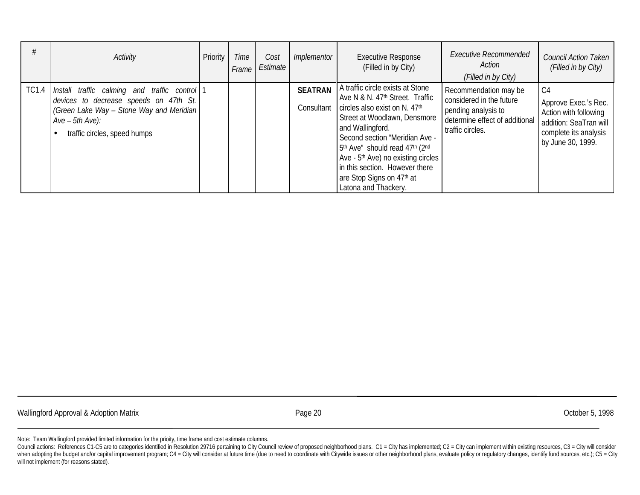|       | Activity                                                                                                                                                                                | Priority | Time<br>Frame | Cost<br>Estimate | <i>Implementor</i>           | <b>Executive Response</b><br>(Filled in by City)                                                                                                                                                                                                                                                                                                                                                                      | Executive Recommended<br>Action<br>(Filled in by City)                                                                         | <b>Council Action Taken</b><br>(Filled in by City)                                                                                      |
|-------|-----------------------------------------------------------------------------------------------------------------------------------------------------------------------------------------|----------|---------------|------------------|------------------------------|-----------------------------------------------------------------------------------------------------------------------------------------------------------------------------------------------------------------------------------------------------------------------------------------------------------------------------------------------------------------------------------------------------------------------|--------------------------------------------------------------------------------------------------------------------------------|-----------------------------------------------------------------------------------------------------------------------------------------|
| TC1.4 | Install traffic calming and traffic control<br>devices to decrease speeds on 47th St.<br>(Green Lake Way - Stone Way and Meridian)<br>$Ave - 5th Ave$ :<br>traffic circles, speed humps |          |               |                  | <b>SEATRAN</b><br>Consultant | A traffic circle exists at Stone<br>Ave N & N. 47 <sup>th</sup> Street. Traffic<br>circles also exist on N. 47th<br>Street at Woodlawn, Densmore<br>and Wallingford.<br>Second section "Meridian Ave -<br>5 <sup>th</sup> Ave" should read 47 <sup>th</sup> (2 <sup>nd</sup><br>Ave - 5 <sup>th</sup> Ave) no existing circles<br>in this section. However there<br>are Stop Signs on 47th at<br>Latona and Thackery. | Recommendation may be<br>considered in the future<br>pending analysis to<br>determine effect of additional<br>traffic circles. | C <sub>4</sub><br>Approve Exec.'s Rec.<br>Action with following<br>addition: SeaTran will<br>complete its analysis<br>by June 30, 1999. |

Wallingford Approval & Adoption Matrix **Exercise 20** Page 20 **October 5, 1998** October 5, 1998

Note: Team Wallingford provided limited information for the prioity, time frame and cost estimate columns.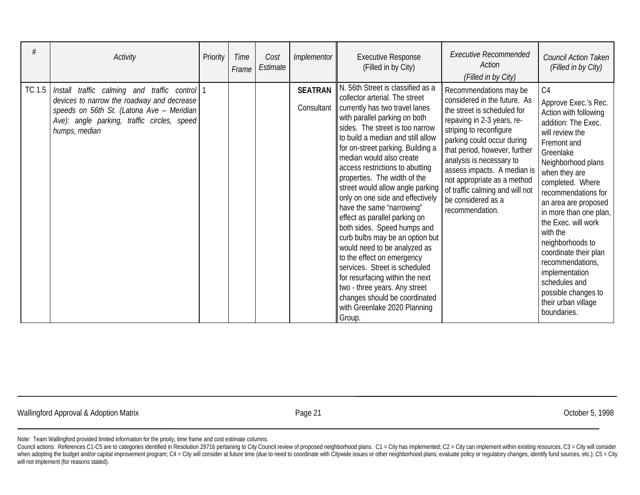| #      | Activity                                                                                                                                                                                                 | Priority | Time<br>Frame | Cost<br>Estimate | Implementor                  | <b>Executive Response</b><br>(Filled in by City)                                                                                                                                                                                                                                                                                                                                                                                                                                                                                                                                                                                                                                                                                                                                                         | <b>Executive Recommended</b><br>Action<br>(Filled in by City)                                                                                                                                                                                                                                                                                                                       | Council Action Taken<br>(Filled in by City)                                                                                                                                                                                                                                                                                                                                                                                                                                   |
|--------|----------------------------------------------------------------------------------------------------------------------------------------------------------------------------------------------------------|----------|---------------|------------------|------------------------------|----------------------------------------------------------------------------------------------------------------------------------------------------------------------------------------------------------------------------------------------------------------------------------------------------------------------------------------------------------------------------------------------------------------------------------------------------------------------------------------------------------------------------------------------------------------------------------------------------------------------------------------------------------------------------------------------------------------------------------------------------------------------------------------------------------|-------------------------------------------------------------------------------------------------------------------------------------------------------------------------------------------------------------------------------------------------------------------------------------------------------------------------------------------------------------------------------------|-------------------------------------------------------------------------------------------------------------------------------------------------------------------------------------------------------------------------------------------------------------------------------------------------------------------------------------------------------------------------------------------------------------------------------------------------------------------------------|
| TC 1.5 | Install traffic calming and traffic control 1<br>devices to narrow the roadway and decrease<br>speeds on 56th St. (Latona Ave - Meridian<br>Ave): angle parking, traffic circles, speed<br>humps, median |          |               |                  | <b>SEATRAN</b><br>Consultant | N. 56th Street is classified as a<br>collector arterial. The street<br>currently has two travel lanes<br>with parallel parking on both<br>sides. The street is too narrow<br>to build a median and still allow<br>for on-street parking. Building a<br>median would also create<br>access restrictions to abutting<br>properties. The width of the<br>street would allow angle parking<br>only on one side and effectively<br>have the same "narrowing"<br>effect as parallel parking on<br>both sides. Speed humps and<br>curb bulbs may be an option but<br>would need to be analyzed as<br>to the effect on emergency<br>services. Street is scheduled<br>for resurfacing within the next<br>two - three years. Any street<br>changes should be coordinated<br>with Greenlake 2020 Planning<br>Group. | Recommendations may be<br>considered in the future. As<br>the street is scheduled for<br>repaving in 2-3 years, re-<br>striping to reconfigure<br>parking could occur during<br>that period, however, further<br>analysis is necessary to<br>assess impacts. A median is<br>not appropriate as a method<br>of traffic calming and will not<br>be considered as a<br>recommendation. | C <sub>4</sub><br>Approve Exec.'s Rec.<br>Action with following<br>addition: The Exec.<br>will review the<br>Fremont and<br>Greenlake<br>Neighborhood plans<br>when they are<br>completed. Where<br>recommendations for<br>an area are proposed<br>in more than one plan,<br>the Exec. will work<br>with the<br>neighborhoods to<br>coordinate their plan<br>recommendations,<br>implementation<br>schedules and<br>possible changes to<br>their urban village<br>boundaries. |

Wallingford Approval & Adoption Matrix **Access 20 For a Control of Contract 21** Corresponding Corporation Matrix Corporation of the Corporation of the Corporation of the Corporation of the Page 21 Corporation of the Corpor

Note: Team Wallingford provided limited information for the prioity, time frame and cost estimate columns.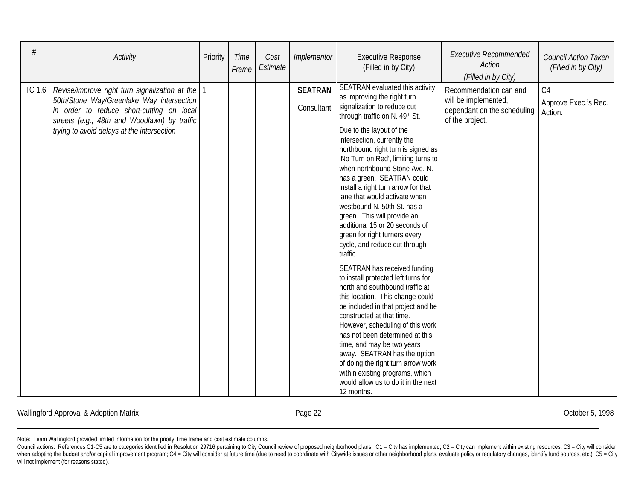| #      | Activity                                                                                                                                                                                                                               | Priority | Time<br>Frame | Cost<br>Estimate | Implementor                  | <b>Executive Response</b><br>(Filled in by City)                                                                                                                                                                                                                                                                                                                                                                                                                                                                                                                                                                                                                                                                                                                                                                                                                                                                                                                                                                                                                                 | <b>Executive Recommended</b><br>Action<br>(Filled in by City)                                    | <b>Council Action Taken</b><br>(Filled in by City) |
|--------|----------------------------------------------------------------------------------------------------------------------------------------------------------------------------------------------------------------------------------------|----------|---------------|------------------|------------------------------|----------------------------------------------------------------------------------------------------------------------------------------------------------------------------------------------------------------------------------------------------------------------------------------------------------------------------------------------------------------------------------------------------------------------------------------------------------------------------------------------------------------------------------------------------------------------------------------------------------------------------------------------------------------------------------------------------------------------------------------------------------------------------------------------------------------------------------------------------------------------------------------------------------------------------------------------------------------------------------------------------------------------------------------------------------------------------------|--------------------------------------------------------------------------------------------------|----------------------------------------------------|
| TC 1.6 | Revise/improve right turn signalization at the<br>50th/Stone Way/Greenlake Way intersection<br>in order to reduce short-cutting on local<br>streets (e.g., 48th and Woodlawn) by traffic<br>trying to avoid delays at the intersection |          |               |                  | <b>SEATRAN</b><br>Consultant | SEATRAN evaluated this activity<br>as improving the right turn<br>signalization to reduce cut<br>through traffic on N. 49th St.<br>Due to the layout of the<br>intersection, currently the<br>northbound right turn is signed as<br>'No Turn on Red', limiting turns to<br>when northbound Stone Ave. N.<br>has a green. SEATRAN could<br>install a right turn arrow for that<br>lane that would activate when<br>westbound N. 50th St. has a<br>green. This will provide an<br>additional 15 or 20 seconds of<br>green for right turners every<br>cycle, and reduce cut through<br>traffic.<br>SEATRAN has received funding<br>to install protected left turns for<br>north and southbound traffic at<br>this location. This change could<br>be included in that project and be<br>constructed at that time.<br>However, scheduling of this work<br>has not been determined at this<br>time, and may be two years<br>away. SEATRAN has the option<br>of doing the right turn arrow work<br>within existing programs, which<br>would allow us to do it in the next<br>12 months. | Recommendation can and<br>will be implemented,<br>dependant on the scheduling<br>of the project. | C <sub>4</sub><br>Approve Exec.'s Rec.<br>Action.  |

Wallingford Approval & Adoption Matrix **Exercise 22** Page 22 **October 5, 1998** October 5, 1998

Council actions: References C1-C5 are to categories identified in Resolution 29716 pertaining to City Council review of proposed neighborhood plans. C1 = City has implemented; C2 = City can implement within existing resour when adopting the budget and/or capital improvement program; C4 = City will consider at future time (due to need to coordinate with Citywide issues or other neighborhood plans, evaluate policy or regulatory changes, identi will not implement (for reasons stated).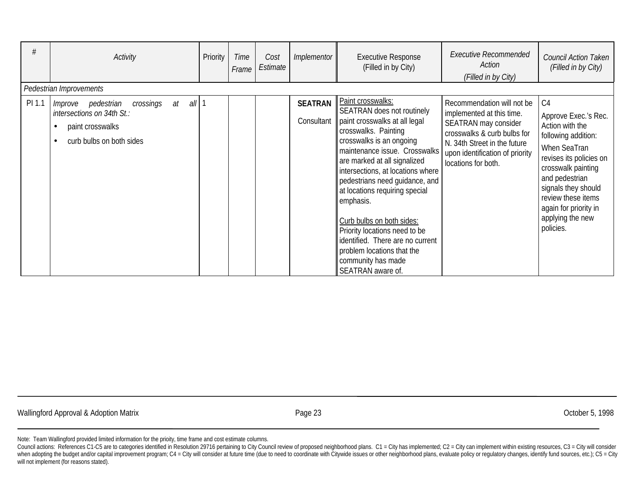| #      | Activity<br>Pedestrian Improvements                                                                                              | Priority | Time<br>Frame | Cost<br>Estimate | <i>Implementor</i>           | <b>Executive Response</b><br>(Filled in by City)                                                                                                                                                                                                                             | <b>Executive Recommended</b><br>Action<br>(Filled in by City)                                                                                                                                            | Council Action Taken<br>(Filled in by City)                                                                                                                         |
|--------|----------------------------------------------------------------------------------------------------------------------------------|----------|---------------|------------------|------------------------------|------------------------------------------------------------------------------------------------------------------------------------------------------------------------------------------------------------------------------------------------------------------------------|----------------------------------------------------------------------------------------------------------------------------------------------------------------------------------------------------------|---------------------------------------------------------------------------------------------------------------------------------------------------------------------|
| PI 1.1 | all<br>pedestrian<br>crossings<br>$a$ t<br>Improve<br>intersections on 34th St.:<br>paint crosswalks<br>curb bulbs on both sides |          |               |                  | <b>SEATRAN</b><br>Consultant | Paint crosswalks:<br>SEATRAN does not routinely<br>paint crosswalks at all legal<br>crosswalks. Painting<br>crosswalks is an ongoing<br>maintenance issue. Crosswalks<br>are marked at all signalized<br>intersections, at locations where<br>pedestrians need guidance, and | Recommendation will not be<br>implemented at this time.<br>SEATRAN may consider<br>crosswalks & curb bulbs for<br>N. 34th Street in the future<br>upon identification of priority<br>locations for both. | C <sub>4</sub><br>Approve Exec.'s Rec.<br>Action with the<br>following addition:<br>When SeaTran<br>revises its policies on<br>crosswalk painting<br>and pedestrian |
|        |                                                                                                                                  |          |               |                  |                              | at locations requiring special<br>emphasis.<br>Curb bulbs on both sides:<br>Priority locations need to be<br>identified. There are no current<br>problem locations that the<br>community has made<br>SEATRAN aware of.                                                       |                                                                                                                                                                                                          | signals they should<br>review these items<br>again for priority in<br>applying the new<br>policies.                                                                 |

Wallingford Approval & Adoption Matrix **Access 23** Corresponding to the United States 23 Corresponding to the States of the States of the States of the Page 23 Corresponding to the States of the States of the States of the

Note: Team Wallingford provided limited information for the prioity, time frame and cost estimate columns.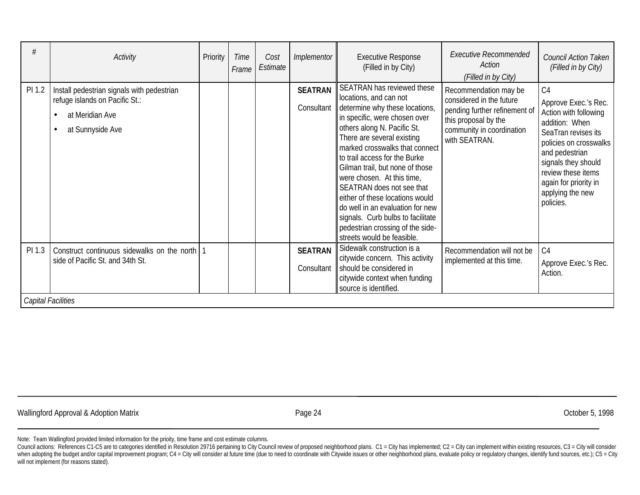| #      | Activity                                                                                                                 | Priority | Time<br>Frame | Cost<br>Estimate | Implementor                  | <b>Executive Response</b><br>(Filled in by City)                                                                                                                                                                                                                                                                                                                                                                                                                                                                                    | <b>Executive Recommended</b><br>Action<br>(Filled in by City)                                                                                            | <b>Council Action Taken</b><br>(Filled in by City)                                                                                                                                                                                                          |
|--------|--------------------------------------------------------------------------------------------------------------------------|----------|---------------|------------------|------------------------------|-------------------------------------------------------------------------------------------------------------------------------------------------------------------------------------------------------------------------------------------------------------------------------------------------------------------------------------------------------------------------------------------------------------------------------------------------------------------------------------------------------------------------------------|----------------------------------------------------------------------------------------------------------------------------------------------------------|-------------------------------------------------------------------------------------------------------------------------------------------------------------------------------------------------------------------------------------------------------------|
| PI 1.2 | Install pedestrian signals with pedestrian<br>refuge islands on Pacific St.:<br>at Meridian Ave<br>at Sunnyside Ave<br>٠ |          |               |                  | <b>SEATRAN</b><br>Consultant | SEATRAN has reviewed these<br>locations, and can not<br>determine why these locations,<br>in specific, were chosen over<br>others along N. Pacific St.<br>There are several existing<br>marked crosswalks that connect<br>to trail access for the Burke<br>Gilman trail, but none of those<br>were chosen. At this time,<br>SEATRAN does not see that<br>either of these locations would<br>do well in an evaluation for new<br>signals. Curb bulbs to facilitate<br>pedestrian crossing of the side-<br>streets would be feasible. | Recommendation may be<br>considered in the future<br>pending further refinement of<br>this proposal by the<br>community in coordination<br>with SEATRAN. | C <sub>4</sub><br>Approve Exec.'s Rec.<br>Action with following<br>addition: When<br>SeaTran revises its<br>policies on crosswalks<br>and pedestrian<br>signals they should<br>review these items<br>again for priority in<br>applying the new<br>policies. |
| PI 1.3 | Construct continuous sidewalks on the north<br>side of Pacific St. and 34th St.<br>Capital Facilities                    |          |               |                  | <b>SEATRAN</b><br>Consultant | Sidewalk construction is a<br>citywide concern. This activity<br>should be considered in<br>citywide context when funding<br>source is identified.                                                                                                                                                                                                                                                                                                                                                                                  | Recommendation will not be<br>implemented at this time.                                                                                                  | C <sub>4</sub><br>Approve Exec.'s Rec.<br>Action.                                                                                                                                                                                                           |
|        |                                                                                                                          |          |               |                  |                              |                                                                                                                                                                                                                                                                                                                                                                                                                                                                                                                                     |                                                                                                                                                          |                                                                                                                                                                                                                                                             |

Wallingford Approval & Adoption Matrix **Exercise 24** Page 24 Corober 5, 1998 Page 24 Corober 5, 1998

Note: Team Wallingford provided limited information for the prioity, time frame and cost estimate columns.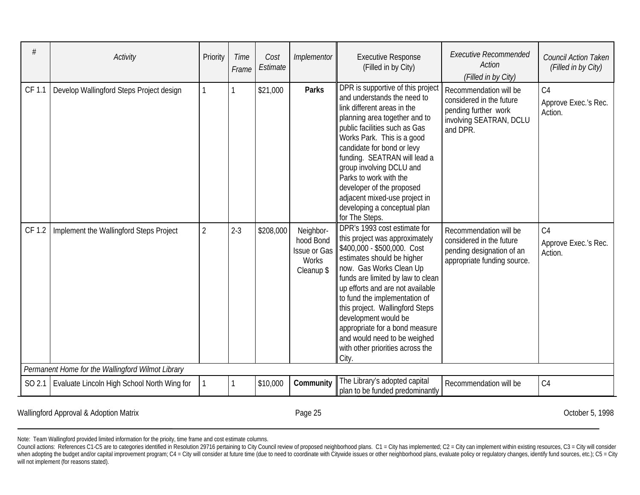| #      | Activity                                          | Priority | Time<br>Frame | Cost<br>Estimate | Implementor                                                                 | <b>Executive Response</b><br>(Filled in by City)                                                                                                                                                                                                                                                                                                                                                                                           | <b>Executive Recommended</b><br><b>Action</b><br>(Filled in by City)                                              | <b>Council Action Taken</b><br>(Filled in by City) |  |  |  |
|--------|---------------------------------------------------|----------|---------------|------------------|-----------------------------------------------------------------------------|--------------------------------------------------------------------------------------------------------------------------------------------------------------------------------------------------------------------------------------------------------------------------------------------------------------------------------------------------------------------------------------------------------------------------------------------|-------------------------------------------------------------------------------------------------------------------|----------------------------------------------------|--|--|--|
| CF 1.1 | Develop Wallingford Steps Project design          |          |               | \$21,000         | <b>Parks</b>                                                                | DPR is supportive of this project<br>and understands the need to<br>link different areas in the<br>planning area together and to<br>public facilities such as Gas<br>Works Park. This is a good<br>candidate for bond or levy<br>funding. SEATRAN will lead a<br>group involving DCLU and<br>Parks to work with the<br>developer of the proposed<br>adjacent mixed-use project in<br>developing a conceptual plan<br>for The Steps.        | Recommendation will be<br>considered in the future<br>pending further work<br>involving SEATRAN, DCLU<br>and DPR. | C <sub>4</sub><br>Approve Exec.'s Rec.<br>Action.  |  |  |  |
| CF 1.2 | Implement the Wallingford Steps Project           | 2        | $2 - 3$       | \$208,000        | Neighbor-<br>hood Bond<br><b>Issue or Gas</b><br><b>Works</b><br>Cleanup \$ | DPR's 1993 cost estimate for<br>this project was approximately<br>\$400,000 - \$500,000. Cost<br>estimates should be higher<br>now. Gas Works Clean Up<br>funds are limited by law to clean<br>up efforts and are not available<br>to fund the implementation of<br>this project. Wallingford Steps<br>development would be<br>appropriate for a bond measure<br>and would need to be weighed<br>with other priorities across the<br>City. | Recommendation will be<br>considered in the future<br>pending designation of an<br>appropriate funding source.    | C4<br>Approve Exec.'s Rec.<br>Action.              |  |  |  |
|        | Permanent Home for the Wallingford Wilmot Library |          |               |                  |                                                                             |                                                                                                                                                                                                                                                                                                                                                                                                                                            |                                                                                                                   |                                                    |  |  |  |
| SO 2.1 | Evaluate Lincoln High School North Wing for       |          |               | \$10,000         | Community                                                                   | The Library's adopted capital<br>plan to be funded predominantly                                                                                                                                                                                                                                                                                                                                                                           | Recommendation will be                                                                                            | C4                                                 |  |  |  |

Wallingford Approval & Adoption Matrix **Exercise 25** Page 25 **October 5, 1998** October 5, 1998

Council actions: References C1-C5 are to categories identified in Resolution 29716 pertaining to City Council review of proposed neighborhood plans. C1 = City has implemented; C2 = City can implement within existing resour when adopting the budget and/or capital improvement program; C4 = City will consider at future time (due to need to coordinate with Citywide issues or other neighborhood plans, evaluate policy or regulatory changes, identi will not implement (for reasons stated).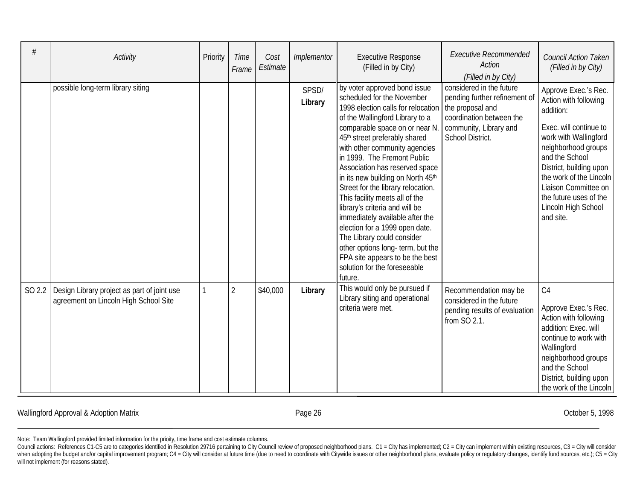| #      | Activity                                                                             | Priority | Time<br>Frame  | Cost<br>Estimate | Implementor      | <b>Executive Response</b><br>(Filled in by City)                                                                                                                                                                                                                                                                                                                                                                                                                                                                                                                                                                                                                              | <b>Executive Recommended</b><br>Action<br>(Filled in by City)                                                                                           | Council Action Taken<br>(Filled in by City)                                                                                                                                                                                                                                                        |
|--------|--------------------------------------------------------------------------------------|----------|----------------|------------------|------------------|-------------------------------------------------------------------------------------------------------------------------------------------------------------------------------------------------------------------------------------------------------------------------------------------------------------------------------------------------------------------------------------------------------------------------------------------------------------------------------------------------------------------------------------------------------------------------------------------------------------------------------------------------------------------------------|---------------------------------------------------------------------------------------------------------------------------------------------------------|----------------------------------------------------------------------------------------------------------------------------------------------------------------------------------------------------------------------------------------------------------------------------------------------------|
|        | possible long-term library siting                                                    |          |                |                  | SPSD/<br>Library | by voter approved bond issue<br>scheduled for the November<br>1998 election calls for relocation<br>of the Wallingford Library to a<br>comparable space on or near N.<br>45th street preferably shared<br>with other community agencies<br>in 1999. The Fremont Public<br>Association has reserved space<br>in its new building on North 45th<br>Street for the library relocation.<br>This facility meets all of the<br>library's criteria and will be<br>immediately available after the<br>election for a 1999 open date.<br>The Library could consider<br>other options long- term, but the<br>FPA site appears to be the best<br>solution for the foreseeable<br>future. | considered in the future<br>pending further refinement of<br>the proposal and<br>coordination between the<br>community, Library and<br>School District. | Approve Exec.'s Rec.<br>Action with following<br>addition:<br>Exec. will continue to<br>work with Wallingford<br>neighborhood groups<br>and the School<br>District, building upon<br>the work of the Lincoln<br>Liaison Committee on<br>the future uses of the<br>Lincoln High School<br>and site. |
| SO 2.2 | Design Library project as part of joint use<br>agreement on Lincoln High School Site |          | $\overline{2}$ | \$40,000         | Library          | This would only be pursued if<br>Library siting and operational<br>criteria were met.                                                                                                                                                                                                                                                                                                                                                                                                                                                                                                                                                                                         | Recommendation may be<br>considered in the future<br>pending results of evaluation<br>from SO 2.1.                                                      | C <sub>4</sub><br>Approve Exec.'s Rec.<br>Action with following<br>addition: Exec. will<br>continue to work with<br>Wallingford<br>neighborhood groups<br>and the School<br>District, building upon<br>the work of the Lincoln                                                                     |

Wallingford Approval & Adoption Matrix **Exercise 26** Page 26 **October 5, 1998** October 5, 1998

Council actions: References C1-C5 are to categories identified in Resolution 29716 pertaining to City Council review of proposed neighborhood plans. C1 = City has implemented; C2 = City can implement within existing resour when adopting the budget and/or capital improvement program; C4 = City will consider at future time (due to need to coordinate with Citywide issues or other neighborhood plans, evaluate policy or regulatory changes, identi will not implement (for reasons stated).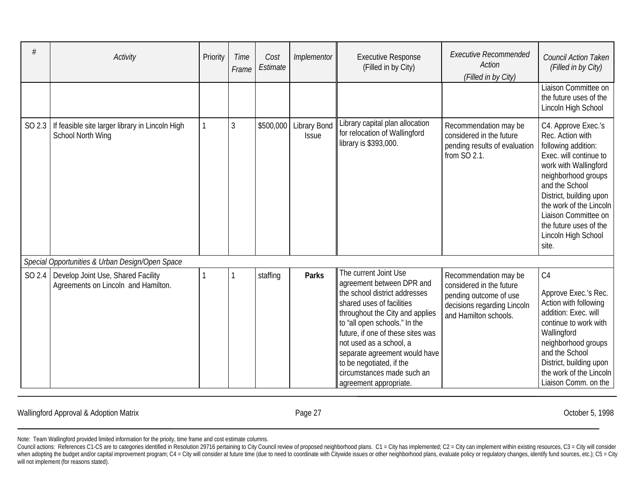| <b>Activity</b>                                                                    | Priority | Time<br>Frame | Cost<br>Estimate | Implementor                         | <b>Executive Response</b><br>(Filled in by City)                                                                                                                                                                                                                                                                                                                          | <b>Executive Recommended</b><br>Action<br>(Filled in by City)                                                                       | <b>Council Action Taken</b><br>(Filled in by City)                                                                                                                                                                                                                                                 |
|------------------------------------------------------------------------------------|----------|---------------|------------------|-------------------------------------|---------------------------------------------------------------------------------------------------------------------------------------------------------------------------------------------------------------------------------------------------------------------------------------------------------------------------------------------------------------------------|-------------------------------------------------------------------------------------------------------------------------------------|----------------------------------------------------------------------------------------------------------------------------------------------------------------------------------------------------------------------------------------------------------------------------------------------------|
|                                                                                    |          |               |                  |                                     |                                                                                                                                                                                                                                                                                                                                                                           |                                                                                                                                     | Liaison Committee on<br>the future uses of the<br>Lincoln High School                                                                                                                                                                                                                              |
| SO 2.3   If feasible site larger library in Lincoln High<br>School North Wing      |          | 3             | \$500,000        | <b>Library Bond</b><br><b>Issue</b> | Library capital plan allocation<br>for relocation of Wallingford<br>library is \$393,000.                                                                                                                                                                                                                                                                                 | Recommendation may be<br>considered in the future<br>pending results of evaluation<br>from SO 2.1.                                  | C4. Approve Exec.'s<br>Rec. Action with<br>following addition:<br>Exec. will continue to<br>work with Wallingford<br>neighborhood groups<br>and the School<br>District, building upon<br>the work of the Lincoln<br>Liaison Committee on<br>the future uses of the<br>Lincoln High School<br>site. |
| Special Opportunities & Urban Design/Open Space                                    |          |               |                  |                                     |                                                                                                                                                                                                                                                                                                                                                                           |                                                                                                                                     |                                                                                                                                                                                                                                                                                                    |
| SO 2.4   Develop Joint Use, Shared Facility<br>Agreements on Lincoln and Hamilton. |          |               | staffing         | <b>Parks</b>                        | The current Joint Use<br>agreement between DPR and<br>the school district addresses<br>shared uses of facilities<br>throughout the City and applies<br>to "all open schools." In the<br>future, if one of these sites was<br>not used as a school, a<br>separate agreement would have<br>to be negotiated, if the<br>circumstances made such an<br>agreement appropriate. | Recommendation may be<br>considered in the future<br>pending outcome of use<br>decisions regarding Lincoln<br>and Hamilton schools. | C <sub>4</sub><br>Approve Exec.'s Rec.<br>Action with following<br>addition: Exec. will<br>continue to work with<br>Wallingford<br>neighborhood groups<br>and the School<br>District, building upon<br>the work of the Lincoln<br>Liaison Comm. on the                                             |

Wallingford Approval & Adoption Matrix **Exercise 2018** Page 27 **Canadia** Page 27 **Canadia Provident Contract 2019** October 5, 1998

Council actions: References C1-C5 are to categories identified in Resolution 29716 pertaining to City Council review of proposed neighborhood plans. C1 = City has implemented; C2 = City can implement within existing resour when adopting the budget and/or capital improvement program; C4 = City will consider at future time (due to need to coordinate with Citywide issues or other neighborhood plans, evaluate policy or regulatory changes, identi will not implement (for reasons stated).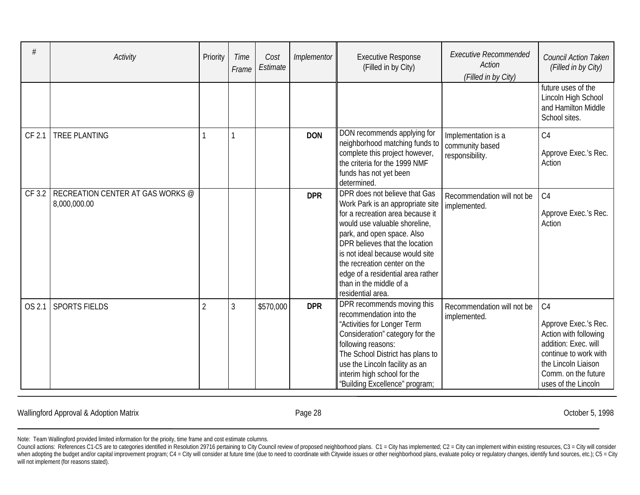| #      | Activity                                         | Priority       | Time<br>Frame | Cost<br>Estimate | Implementor | <b>Executive Response</b><br>(Filled in by City)                                                                                                                                                                                                                                                                                                               | <b>Executive Recommended</b><br>Action<br>(Filled in by City) | <b>Council Action Taken</b><br>(Filled in by City)                                                                                                                                    |
|--------|--------------------------------------------------|----------------|---------------|------------------|-------------|----------------------------------------------------------------------------------------------------------------------------------------------------------------------------------------------------------------------------------------------------------------------------------------------------------------------------------------------------------------|---------------------------------------------------------------|---------------------------------------------------------------------------------------------------------------------------------------------------------------------------------------|
|        |                                                  |                |               |                  |             |                                                                                                                                                                                                                                                                                                                                                                |                                                               | future uses of the<br>Lincoln High School<br>and Hamilton Middle<br>School sites.                                                                                                     |
| CF 2.1 | <b>TREE PLANTING</b>                             |                |               |                  | <b>DON</b>  | DON recommends applying for<br>neighborhood matching funds to<br>complete this project however,<br>the criteria for the 1999 NMF<br>funds has not yet been<br>determined.                                                                                                                                                                                      | Implementation is a<br>community based<br>responsibility.     | C <sub>4</sub><br>Approve Exec.'s Rec.<br>Action                                                                                                                                      |
| CF 3.2 | RECREATION CENTER AT GAS WORKS @<br>8,000,000.00 |                |               |                  | <b>DPR</b>  | DPR does not believe that Gas<br>Work Park is an appropriate site<br>for a recreation area because it<br>would use valuable shoreline,<br>park, and open space. Also<br>DPR believes that the location<br>is not ideal because would site<br>the recreation center on the<br>edge of a residential area rather<br>than in the middle of a<br>residential area. | Recommendation will not be<br>implemented.                    | C4<br>Approve Exec.'s Rec.<br>Action                                                                                                                                                  |
| OS 2.1 | <b>SPORTS FIELDS</b>                             | $\overline{2}$ | 3             | \$570,000        | <b>DPR</b>  | DPR recommends moving this<br>recommendation into the<br>"Activities for Longer Term<br>Consideration" category for the<br>following reasons:<br>The School District has plans to<br>use the Lincoln facility as an<br>interim high school for the<br>"Building Excellence" program;                                                                           | Recommendation will not be<br>implemented.                    | C <sub>4</sub><br>Approve Exec.'s Rec.<br>Action with following<br>addition: Exec. will<br>continue to work with<br>the Lincoln Liaison<br>Comm. on the future<br>uses of the Lincoln |

Wallingford Approval & Adoption Matrix **Exercise 28** Page 28 **October 5, 1998** October 5, 1998

Council actions: References C1-C5 are to categories identified in Resolution 29716 pertaining to City Council review of proposed neighborhood plans. C1 = City has implemented; C2 = City can implement within existing resour when adopting the budget and/or capital improvement program; C4 = City will consider at future time (due to need to coordinate with Citywide issues or other neighborhood plans, evaluate policy or regulatory changes, identi will not implement (for reasons stated).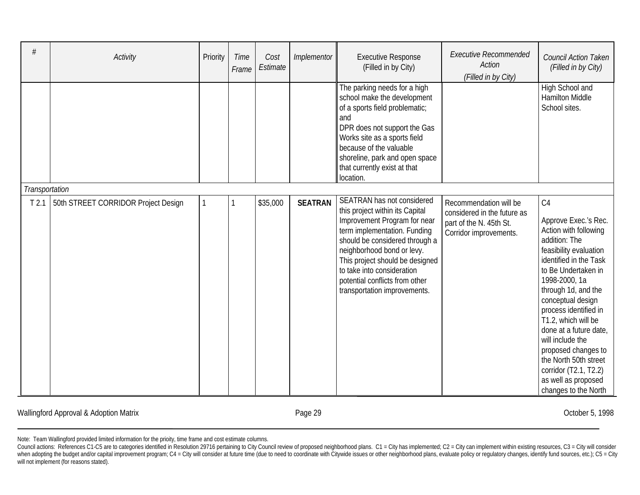| #                | Activity                            | Priority | <b>Time</b><br>Frame | Cost<br>Estimate | Implementor    | <b>Executive Response</b><br>(Filled in by City)                                                                                                                                                                                                                                                                                 | <b>Executive Recommended</b><br><b>Action</b><br>(Filled in by City)                                       | Council Action Taken<br>(Filled in by City)                                                                                                                                                                                                                                                                                                                                                                                                    |
|------------------|-------------------------------------|----------|----------------------|------------------|----------------|----------------------------------------------------------------------------------------------------------------------------------------------------------------------------------------------------------------------------------------------------------------------------------------------------------------------------------|------------------------------------------------------------------------------------------------------------|------------------------------------------------------------------------------------------------------------------------------------------------------------------------------------------------------------------------------------------------------------------------------------------------------------------------------------------------------------------------------------------------------------------------------------------------|
|                  |                                     |          |                      |                  |                | The parking needs for a high<br>school make the development<br>of a sports field problematic;<br>and<br>DPR does not support the Gas<br>Works site as a sports field<br>because of the valuable<br>shoreline, park and open space<br>that currently exist at that<br>location.                                                   |                                                                                                            | High School and<br><b>Hamilton Middle</b><br>School sites.                                                                                                                                                                                                                                                                                                                                                                                     |
| Transportation   |                                     |          |                      |                  |                |                                                                                                                                                                                                                                                                                                                                  |                                                                                                            |                                                                                                                                                                                                                                                                                                                                                                                                                                                |
| T <sub>2.1</sub> | 50th STREET CORRIDOR Project Design |          |                      | \$35,000         | <b>SEATRAN</b> | SEATRAN has not considered<br>this project within its Capital<br>Improvement Program for near<br>term implementation. Funding<br>should be considered through a<br>neighborhood bond or levy.<br>This project should be designed<br>to take into consideration<br>potential conflicts from other<br>transportation improvements. | Recommendation will be<br>considered in the future as<br>part of the N. 45th St.<br>Corridor improvements. | C <sub>4</sub><br>Approve Exec.'s Rec.<br>Action with following<br>addition: The<br>feasibility evaluation<br>identified in the Task<br>to Be Undertaken in<br>1998-2000, 1a<br>through 1d, and the<br>conceptual design<br>process identified in<br>T1.2, which will be<br>done at a future date,<br>will include the<br>proposed changes to<br>the North 50th street<br>corridor (T2.1, T2.2)<br>as well as proposed<br>changes to the North |

Wallingford Approval & Adoption Matrix **Exercise 29** Page 29 **Page 29** October 5, 1998

Council actions: References C1-C5 are to categories identified in Resolution 29716 pertaining to City Council review of proposed neighborhood plans. C1 = City has implemented; C2 = City can implement within existing resour when adopting the budget and/or capital improvement program; C4 = City will consider at future time (due to need to coordinate with Citywide issues or other neighborhood plans, evaluate policy or regulatory changes, identi will not implement (for reasons stated).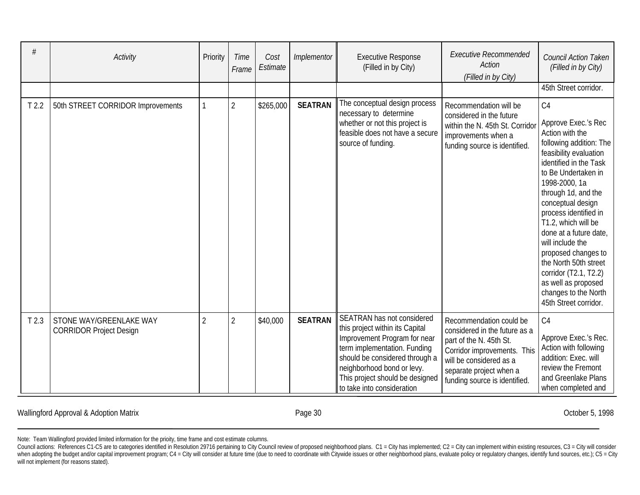|                  | Activity                                                  | Priority | Time<br>Frame  | Cost<br>Estimate | Implementor    | <b>Executive Response</b><br>(Filled in by City)                                                                                                                                                                                                               | <b>Executive Recommended</b><br><b>Action</b><br>(Filled in by City)                                                                                                                                      | Council Action Taken<br>(Filled in by City)                                                                                                                                                                                                                                                                                                                                                                                                                                |
|------------------|-----------------------------------------------------------|----------|----------------|------------------|----------------|----------------------------------------------------------------------------------------------------------------------------------------------------------------------------------------------------------------------------------------------------------------|-----------------------------------------------------------------------------------------------------------------------------------------------------------------------------------------------------------|----------------------------------------------------------------------------------------------------------------------------------------------------------------------------------------------------------------------------------------------------------------------------------------------------------------------------------------------------------------------------------------------------------------------------------------------------------------------------|
|                  |                                                           |          |                |                  |                |                                                                                                                                                                                                                                                                |                                                                                                                                                                                                           | 45th Street corridor.                                                                                                                                                                                                                                                                                                                                                                                                                                                      |
| T <sub>2.2</sub> | 50th STREET CORRIDOR Improvements                         |          | $\overline{2}$ | \$265,000        | <b>SEATRAN</b> | The conceptual design process<br>necessary to determine<br>whether or not this project is<br>feasible does not have a secure<br>source of funding.                                                                                                             | Recommendation will be<br>considered in the future<br>within the N. 45th St. Corridor<br>improvements when a<br>funding source is identified.                                                             | C <sub>4</sub><br>Approve Exec.'s Rec<br>Action with the<br>following addition: The<br>feasibility evaluation<br>identified in the Task<br>to Be Undertaken in<br>1998-2000, 1a<br>through 1d, and the<br>conceptual design<br>process identified in<br>T1.2, which will be<br>done at a future date,<br>will include the<br>proposed changes to<br>the North 50th street<br>corridor (T2.1, T2.2)<br>as well as proposed<br>changes to the North<br>45th Street corridor. |
| T <sub>2.3</sub> | STONE WAY/GREENLAKE WAY<br><b>CORRIDOR Project Design</b> | 2        | $\sqrt{2}$     | \$40,000         | <b>SEATRAN</b> | SEATRAN has not considered<br>this project within its Capital<br>Improvement Program for near<br>term implementation. Funding<br>should be considered through a<br>neighborhood bond or levy.<br>This project should be designed<br>to take into consideration | Recommendation could be<br>considered in the future as a<br>part of the N. 45th St.<br>Corridor improvements. This<br>will be considered as a<br>separate project when a<br>funding source is identified. | C <sub>4</sub><br>Approve Exec.'s Rec.<br>Action with following<br>addition: Exec. will<br>review the Fremont<br>and Greenlake Plans<br>when completed and                                                                                                                                                                                                                                                                                                                 |

Wallingford Approval & Adoption Matrix **Exercise 20** Page 30 **October 5, 1998** October 5, 1998

Note: Team Wallingford provided limited information for the prioity, time frame and cost estimate columns.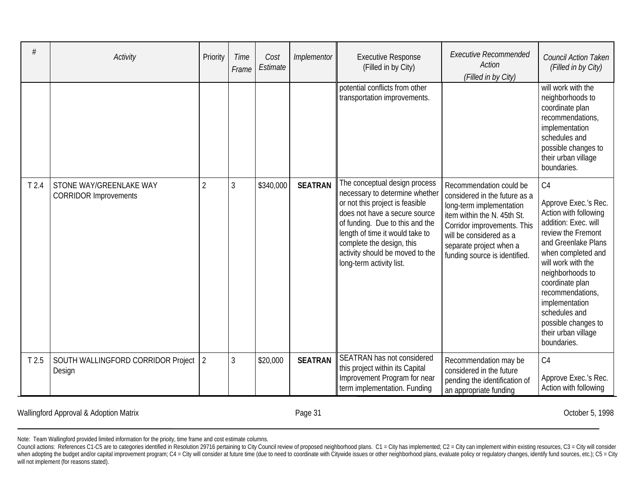| #                | Activity                                                | Priority       | Time<br>Frame | Cost<br>Estimate | Implementor    | <b>Executive Response</b><br>(Filled in by City)                                                                                                                                                                                                                                                      | <b>Executive Recommended</b><br>Action<br>(Filled in by City)                                                                                                                                                                             | <b>Council Action Taken</b><br>(Filled in by City)                                                                                                                                                                                                                                                                              |
|------------------|---------------------------------------------------------|----------------|---------------|------------------|----------------|-------------------------------------------------------------------------------------------------------------------------------------------------------------------------------------------------------------------------------------------------------------------------------------------------------|-------------------------------------------------------------------------------------------------------------------------------------------------------------------------------------------------------------------------------------------|---------------------------------------------------------------------------------------------------------------------------------------------------------------------------------------------------------------------------------------------------------------------------------------------------------------------------------|
|                  |                                                         |                |               |                  |                | potential conflicts from other<br>transportation improvements.                                                                                                                                                                                                                                        |                                                                                                                                                                                                                                           | will work with the<br>neighborhoods to<br>coordinate plan<br>recommendations,<br>implementation<br>schedules and<br>possible changes to<br>their urban village<br>boundaries.                                                                                                                                                   |
| T <sub>2.4</sub> | STONE WAY/GREENLAKE WAY<br><b>CORRIDOR Improvements</b> | $\overline{2}$ | 3             | \$340,000        | <b>SEATRAN</b> | The conceptual design process<br>necessary to determine whether<br>or not this project is feasible<br>does not have a secure source<br>of funding. Due to this and the<br>length of time it would take to<br>complete the design, this<br>activity should be moved to the<br>long-term activity list. | Recommendation could be<br>considered in the future as a<br>long-term implementation<br>item within the N. 45th St.<br>Corridor improvements. This<br>will be considered as a<br>separate project when a<br>funding source is identified. | C4<br>Approve Exec.'s Rec.<br>Action with following<br>addition: Exec. will<br>review the Fremont<br>and Greenlake Plans<br>when completed and<br>will work with the<br>neighborhoods to<br>coordinate plan<br>recommendations,<br>implementation<br>schedules and<br>possible changes to<br>their urban village<br>boundaries. |
| T <sub>2.5</sub> | SOUTH WALLINGFORD CORRIDOR Project<br>Design            | $\overline{2}$ | 3             | \$20,000         | <b>SEATRAN</b> | SEATRAN has not considered<br>this project within its Capital<br>Improvement Program for near<br>term implementation. Funding                                                                                                                                                                         | Recommendation may be<br>considered in the future<br>pending the identification of<br>an appropriate funding                                                                                                                              | C <sub>4</sub><br>Approve Exec.'s Rec.<br>Action with following                                                                                                                                                                                                                                                                 |

Wallingford Approval & Adoption Matrix **Access 2018** Page 31 Corporation Corporation Matrix Corporation Matrix Corporation Matrix Corporation Matrix Corporation Matrix Corporation Matrix Corporation Matrix Corporation Matr

Council actions: References C1-C5 are to categories identified in Resolution 29716 pertaining to City Council review of proposed neighborhood plans. C1 = City has implemented; C2 = City can implement within existing resour when adopting the budget and/or capital improvement program; C4 = City will consider at future time (due to need to coordinate with Citywide issues or other neighborhood plans, evaluate policy or regulatory changes, identi will not implement (for reasons stated).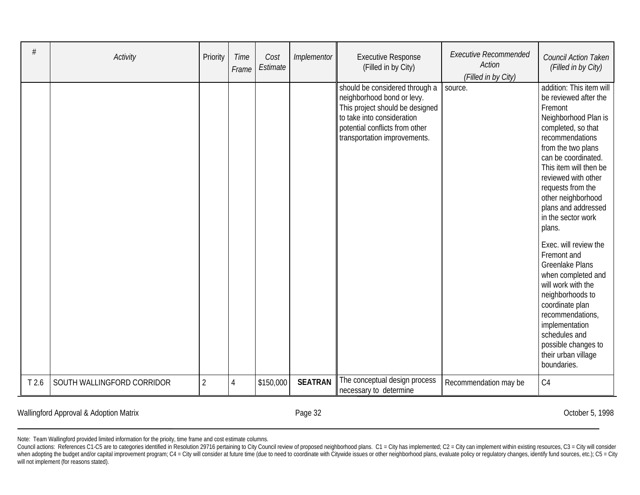| #                | Activity                   | Priority       | <b>Time</b><br>Frame | Cost<br>Estimate | Implementor    | <b>Executive Response</b><br>(Filled in by City)                                                                                                                                                | <b>Executive Recommended</b><br>Action<br>(Filled in by City) | <b>Council Action Taken</b><br>(Filled in by City)                                                                                                                                                                                                                                                                                                                                                                                                                                                                                                                                                     |
|------------------|----------------------------|----------------|----------------------|------------------|----------------|-------------------------------------------------------------------------------------------------------------------------------------------------------------------------------------------------|---------------------------------------------------------------|--------------------------------------------------------------------------------------------------------------------------------------------------------------------------------------------------------------------------------------------------------------------------------------------------------------------------------------------------------------------------------------------------------------------------------------------------------------------------------------------------------------------------------------------------------------------------------------------------------|
|                  |                            |                |                      |                  |                | should be considered through a<br>neighborhood bond or levy.<br>This project should be designed<br>to take into consideration<br>potential conflicts from other<br>transportation improvements. | source.                                                       | addition: This item will<br>be reviewed after the<br>Fremont<br>Neighborhood Plan is<br>completed, so that<br>recommendations<br>from the two plans<br>can be coordinated.<br>This item will then be<br>reviewed with other<br>requests from the<br>other neighborhood<br>plans and addressed<br>in the sector work<br>plans.<br>Exec. will review the<br>Fremont and<br><b>Greenlake Plans</b><br>when completed and<br>will work with the<br>neighborhoods to<br>coordinate plan<br>recommendations,<br>implementation<br>schedules and<br>possible changes to<br>their urban village<br>boundaries. |
| T <sub>2.6</sub> | SOUTH WALLINGFORD CORRIDOR | $\overline{2}$ | 4                    | \$150,000        | <b>SEATRAN</b> | The conceptual design process<br>necessary to determine                                                                                                                                         | Recommendation may be                                         | C4                                                                                                                                                                                                                                                                                                                                                                                                                                                                                                                                                                                                     |

Wallingford Approval & Adoption Matrix **Exercise 20 The Second Approval & Adoption Matrix** Corober 5, 1998

Council actions: References C1-C5 are to categories identified in Resolution 29716 pertaining to City Council review of proposed neighborhood plans. C1 = City has implemented; C2 = City can implement within existing resour when adopting the budget and/or capital improvement program; C4 = City will consider at future time (due to need to coordinate with Citywide issues or other neighborhood plans, evaluate policy or regulatory changes, identi will not implement (for reasons stated).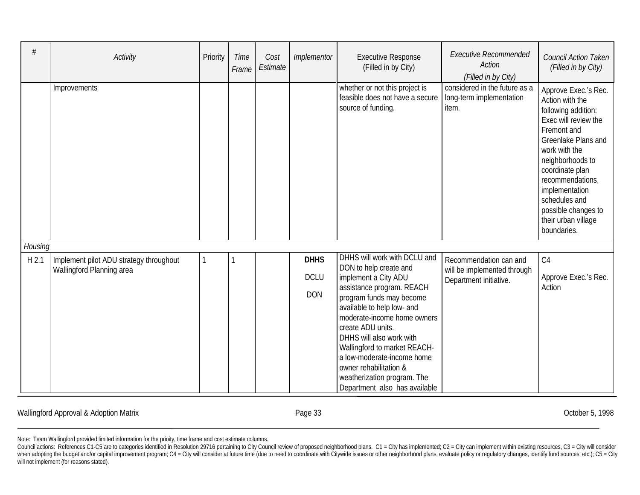| #                | Activity                                                             | Priority | <b>Time</b><br>Frame | Cost<br>Estimate | Implementor                              | <b>Executive Response</b><br>(Filled in by City)                                                                                                                                                                                                                                                                                                                                                              | <b>Executive Recommended</b><br><b>Action</b><br>(Filled in by City)            | Council Action Taken<br>(Filled in by City)                                                                                                                                                                                                                                                              |
|------------------|----------------------------------------------------------------------|----------|----------------------|------------------|------------------------------------------|---------------------------------------------------------------------------------------------------------------------------------------------------------------------------------------------------------------------------------------------------------------------------------------------------------------------------------------------------------------------------------------------------------------|---------------------------------------------------------------------------------|----------------------------------------------------------------------------------------------------------------------------------------------------------------------------------------------------------------------------------------------------------------------------------------------------------|
|                  | Improvements                                                         |          |                      |                  |                                          | whether or not this project is<br>feasible does not have a secure<br>source of funding.                                                                                                                                                                                                                                                                                                                       | considered in the future as a<br>long-term implementation<br>item.              | Approve Exec.'s Rec.<br>Action with the<br>following addition:<br>Exec will review the<br>Fremont and<br>Greenlake Plans and<br>work with the<br>neighborhoods to<br>coordinate plan<br>recommendations,<br>implementation<br>schedules and<br>possible changes to<br>their urban village<br>boundaries. |
| Housing          |                                                                      |          |                      |                  |                                          |                                                                                                                                                                                                                                                                                                                                                                                                               |                                                                                 |                                                                                                                                                                                                                                                                                                          |
| H <sub>2.1</sub> | Implement pilot ADU strategy throughout<br>Wallingford Planning area |          |                      |                  | <b>DHHS</b><br><b>DCLU</b><br><b>DON</b> | DHHS will work with DCLU and<br>DON to help create and<br>implement a City ADU<br>assistance program. REACH<br>program funds may become<br>available to help low- and<br>moderate-income home owners<br>create ADU units.<br>DHHS will also work with<br>Wallingford to market REACH-<br>a low-moderate-income home<br>owner rehabilitation &<br>weatherization program. The<br>Department also has available | Recommendation can and<br>will be implemented through<br>Department initiative. | C <sub>4</sub><br>Approve Exec.'s Rec.<br>Action                                                                                                                                                                                                                                                         |

Wallingford Approval & Adoption Matrix **Exercise 2018** Page 33 **Canada Accepts** 20198 Page 33 Cotober 5, 1998

Council actions: References C1-C5 are to categories identified in Resolution 29716 pertaining to City Council review of proposed neighborhood plans. C1 = City has implemented; C2 = City can implement within existing resour when adopting the budget and/or capital improvement program; C4 = City will consider at future time (due to need to coordinate with Citywide issues or other neighborhood plans, evaluate policy or regulatory changes, identi will not implement (for reasons stated).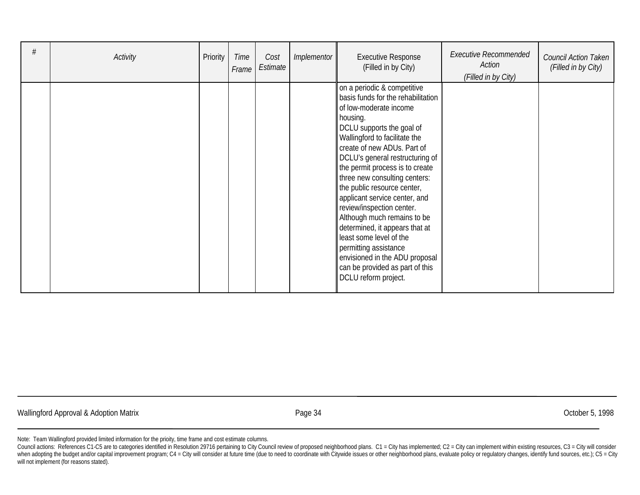| # | Activity | Priority | Time<br>Frame | Cost<br>Estimate | Implementor | <b>Executive Response</b><br>(Filled in by City)                                                                                                                                                                                                                                                                                                                                                                                                                                                                                                                                                                           | <b>Executive Recommended</b><br>Action<br>(Filled in by City) | Council Action Taken<br>(Filled in by City) |
|---|----------|----------|---------------|------------------|-------------|----------------------------------------------------------------------------------------------------------------------------------------------------------------------------------------------------------------------------------------------------------------------------------------------------------------------------------------------------------------------------------------------------------------------------------------------------------------------------------------------------------------------------------------------------------------------------------------------------------------------------|---------------------------------------------------------------|---------------------------------------------|
|   |          |          |               |                  |             | on a periodic & competitive<br>basis funds for the rehabilitation<br>of low-moderate income<br>housing.<br>DCLU supports the goal of<br>Wallingford to facilitate the<br>create of new ADUs. Part of<br>DCLU's general restructuring of<br>the permit process is to create<br>three new consulting centers:<br>the public resource center,<br>applicant service center, and<br>review/inspection center.<br>Although much remains to be<br>determined, it appears that at<br>least some level of the<br>permitting assistance<br>envisioned in the ADU proposal<br>can be provided as part of this<br>DCLU reform project. |                                                               |                                             |

Wallingford Approval & Adoption Matrix **According to the Control of According Control** Page 34 Corporation Corporation Corporation Corporation Corporation October 5, 1998

Note: Team Wallingford provided limited information for the prioity, time frame and cost estimate columns.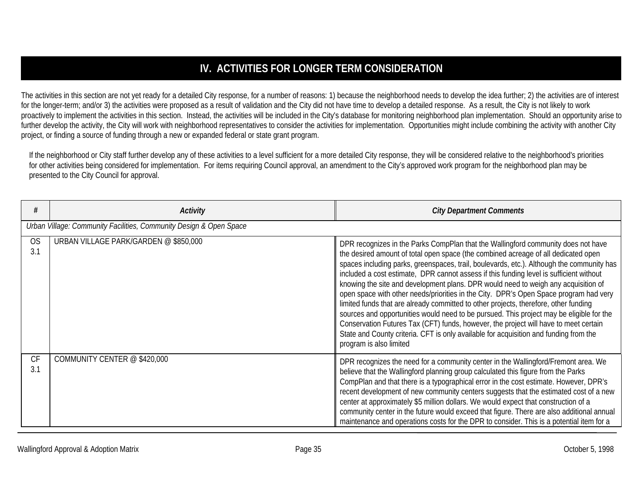# **IV. ACTIVITIES FOR LONGER TERM CONSIDERATION**

The activities in this section are not yet ready for a detailed City response, for a number of reasons: 1) because the neighborhood needs to develop the idea further; 2) the activities are of interest for the longer-term; and/or 3) the activities were proposed as a result of validation and the City did not have time to develop a detailed response. As a result, the City is not likely to work proactively to implement the activities in this section. Instead, the activities will be included in the City's database for monitoring neighborhood plan implementation. Should an opportunity arise to further develop the activity, the City will work with neighborhood representatives to consider the activities for implementation. Opportunities might include combining the activity with another City project, or finding a source of funding through a new or expanded federal or state grant program.

If the neighborhood or City staff further develop any of these activities to a level sufficient for a more detailed City response, they will be considered relative to the neighborhood's priorities for other activities being considered for implementation. For items requiring Council approval, an amendment to the City's approved work program for the neighborhood plan may be presented to the City Council for approval.

|                  | <b>Activity</b>                                                    | <b>City Department Comments</b>                                                                                                                                                                                                                                                                                                                                                                                                                                                                                                                                                                                                                                                                                                                                                                                                                                                                                                                |
|------------------|--------------------------------------------------------------------|------------------------------------------------------------------------------------------------------------------------------------------------------------------------------------------------------------------------------------------------------------------------------------------------------------------------------------------------------------------------------------------------------------------------------------------------------------------------------------------------------------------------------------------------------------------------------------------------------------------------------------------------------------------------------------------------------------------------------------------------------------------------------------------------------------------------------------------------------------------------------------------------------------------------------------------------|
|                  | Urban Village: Community Facilities, Community Design & Open Space |                                                                                                                                                                                                                                                                                                                                                                                                                                                                                                                                                                                                                                                                                                                                                                                                                                                                                                                                                |
| <b>OS</b><br>3.1 | URBAN VILLAGE PARK/GARDEN @ \$850,000                              | DPR recognizes in the Parks CompPlan that the Wallingford community does not have<br>the desired amount of total open space (the combined acreage of all dedicated open<br>spaces including parks, greenspaces, trail, boulevards, etc.). Although the community has<br>included a cost estimate, DPR cannot assess if this funding level is sufficient without<br>knowing the site and development plans. DPR would need to weigh any acquisition of<br>open space with other needs/priorities in the City. DPR's Open Space program had very<br>limited funds that are already committed to other projects, therefore, other funding<br>sources and opportunities would need to be pursued. This project may be eligible for the<br>Conservation Futures Tax (CFT) funds, however, the project will have to meet certain<br>State and County criteria. CFT is only available for acquisition and funding from the<br>program is also limited |
| CF<br>3.1        | COMMUNITY CENTER @ \$420,000                                       | DPR recognizes the need for a community center in the Wallingford/Fremont area. We<br>believe that the Wallingford planning group calculated this figure from the Parks<br>CompPlan and that there is a typographical error in the cost estimate. However, DPR's<br>recent development of new community centers suggests that the estimated cost of a new<br>center at approximately \$5 million dollars. We would expect that construction of a<br>community center in the future would exceed that figure. There are also additional annual<br>maintenance and operations costs for the DPR to consider. This is a potential item for a                                                                                                                                                                                                                                                                                                      |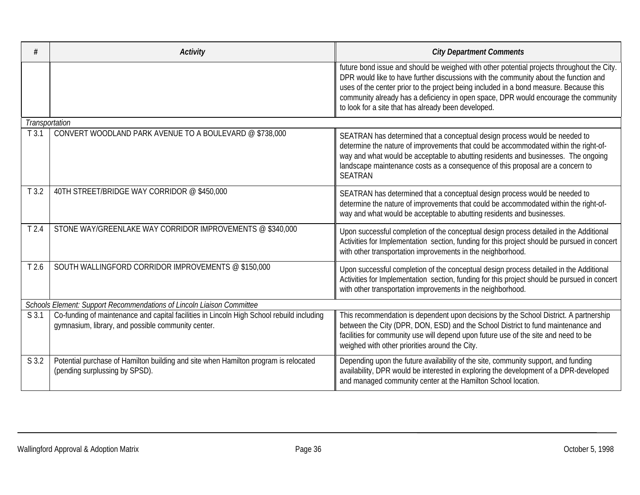| #                | <b>Activity</b>                                                                                                                                 | <b>City Department Comments</b>                                                                                                                                                                                                                                                                                                                                                                                            |  |  |  |  |  |
|------------------|-------------------------------------------------------------------------------------------------------------------------------------------------|----------------------------------------------------------------------------------------------------------------------------------------------------------------------------------------------------------------------------------------------------------------------------------------------------------------------------------------------------------------------------------------------------------------------------|--|--|--|--|--|
|                  |                                                                                                                                                 | future bond issue and should be weighed with other potential projects throughout the City.<br>DPR would like to have further discussions with the community about the function and<br>uses of the center prior to the project being included in a bond measure. Because this<br>community already has a deficiency in open space, DPR would encourage the community<br>to look for a site that has already been developed. |  |  |  |  |  |
| Transportation   |                                                                                                                                                 |                                                                                                                                                                                                                                                                                                                                                                                                                            |  |  |  |  |  |
| T3.1             | CONVERT WOODLAND PARK AVENUE TO A BOULEVARD @ \$738,000                                                                                         | SEATRAN has determined that a conceptual design process would be needed to<br>determine the nature of improvements that could be accommodated within the right-of-<br>way and what would be acceptable to abutting residents and businesses. The ongoing<br>landscape maintenance costs as a consequence of this proposal are a concern to<br><b>SEATRAN</b>                                                               |  |  |  |  |  |
| T3.2             | 40TH STREET/BRIDGE WAY CORRIDOR @ \$450,000                                                                                                     | SEATRAN has determined that a conceptual design process would be needed to<br>determine the nature of improvements that could be accommodated within the right-of-<br>way and what would be acceptable to abutting residents and businesses.                                                                                                                                                                               |  |  |  |  |  |
| T <sub>2.4</sub> | STONE WAY/GREENLAKE WAY CORRIDOR IMPROVEMENTS @ \$340,000                                                                                       | Upon successful completion of the conceptual design process detailed in the Additional<br>Activities for Implementation section, funding for this project should be pursued in concert<br>with other transportation improvements in the neighborhood.                                                                                                                                                                      |  |  |  |  |  |
| T <sub>2.6</sub> | SOUTH WALLINGFORD CORRIDOR IMPROVEMENTS @ \$150,000                                                                                             | Upon successful completion of the conceptual design process detailed in the Additional<br>Activities for Implementation section, funding for this project should be pursued in concert<br>with other transportation improvements in the neighborhood.                                                                                                                                                                      |  |  |  |  |  |
|                  | Schools Element: Support Recommendations of Lincoln Liaison Committee                                                                           |                                                                                                                                                                                                                                                                                                                                                                                                                            |  |  |  |  |  |
| S 3.1            | Co-funding of maintenance and capital facilities in Lincoln High School rebuild including<br>gymnasium, library, and possible community center. | This recommendation is dependent upon decisions by the School District. A partnership<br>between the City (DPR, DON, ESD) and the School District to fund maintenance and<br>facilities for community use will depend upon future use of the site and need to be<br>weighed with other priorities around the City.                                                                                                         |  |  |  |  |  |
| S 3.2            | Potential purchase of Hamilton building and site when Hamilton program is relocated<br>(pending surplussing by SPSD).                           | Depending upon the future availability of the site, community support, and funding<br>availability, DPR would be interested in exploring the development of a DPR-developed<br>and managed community center at the Hamilton School location.                                                                                                                                                                               |  |  |  |  |  |